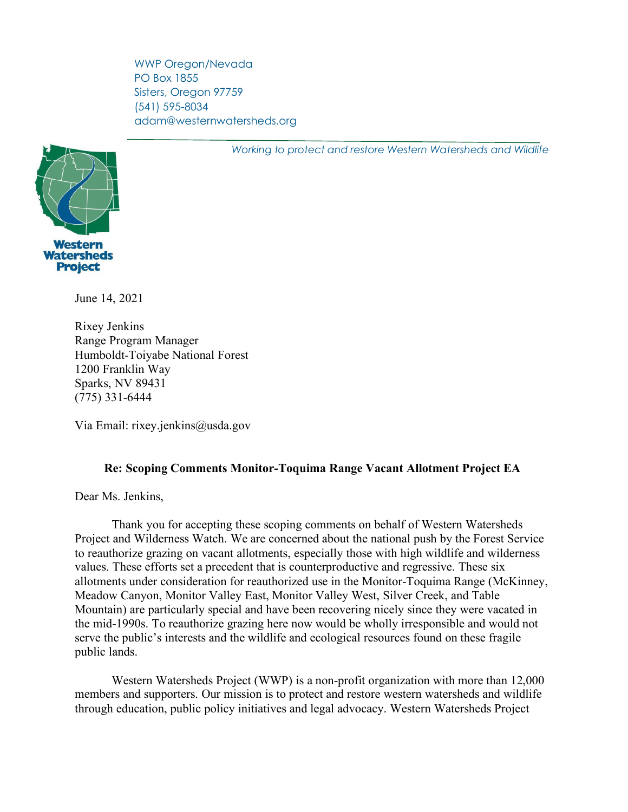WWP Oregon/Nevada PO Box 1855 Sisters, Oregon 97759 (541) 595-8034 adam@westernwatersheds.org

*Working to protect and restore Western Watersheds and Wildlife*



June 14, 2021

Rixey Jenkins Range Program Manager Humboldt-Toiyabe National Forest 1200 Franklin Way Sparks, NV 89431 (775) 331-6444

Via Email: rixey.jenkins@usda.gov

# **Re: Scoping Comments Monitor-Toquima Range Vacant Allotment Project EA**

Dear Ms. Jenkins,

Thank you for accepting these scoping comments on behalf of Western Watersheds Project and Wilderness Watch. We are concerned about the national push by the Forest Service to reauthorize grazing on vacant allotments, especially those with high wildlife and wilderness values. These efforts set a precedent that is counterproductive and regressive. These six allotments under consideration for reauthorized use in the Monitor-Toquima Range (McKinney, Meadow Canyon, Monitor Valley East, Monitor Valley West, Silver Creek, and Table Mountain) are particularly special and have been recovering nicely since they were vacated in the mid-1990s. To reauthorize grazing here now would be wholly irresponsible and would not serve the public's interests and the wildlife and ecological resources found on these fragile public lands.

Western Watersheds Project (WWP) is a non-profit organization with more than 12,000 members and supporters. Our mission is to protect and restore western watersheds and wildlife through education, public policy initiatives and legal advocacy. Western Watersheds Project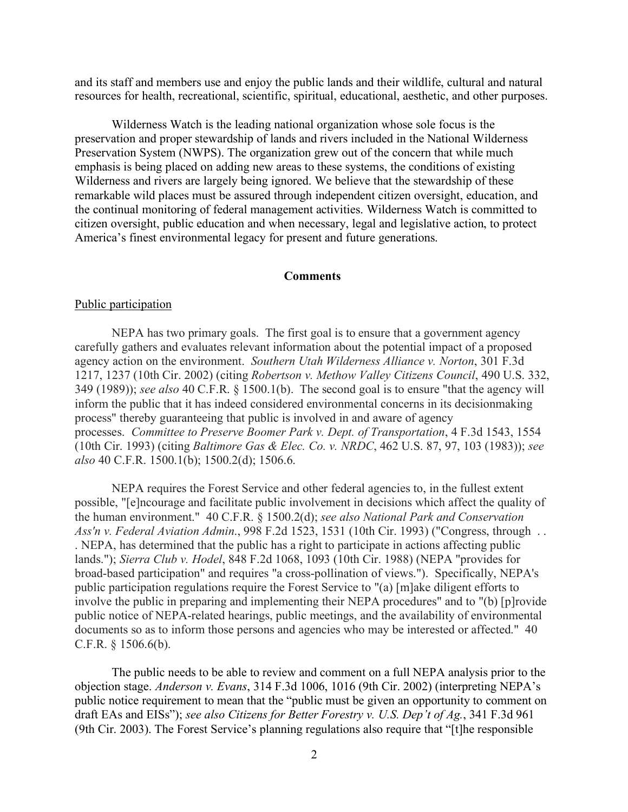and its staff and members use and enjoy the public lands and their wildlife, cultural and natural resources for health, recreational, scientific, spiritual, educational, aesthetic, and other purposes.

Wilderness Watch is the leading national organization whose sole focus is the preservation and proper stewardship of lands and rivers included in the National Wilderness Preservation System (NWPS). The organization grew out of the concern that while much emphasis is being placed on adding new areas to these systems, the conditions of existing Wilderness and rivers are largely being ignored. We believe that the stewardship of these remarkable wild places must be assured through independent citizen oversight, education, and the continual monitoring of federal management activities. Wilderness Watch is committed to citizen oversight, public education and when necessary, legal and legislative action, to protect America's finest environmental legacy for present and future generations.

#### **Comments**

## Public participation

NEPA has two primary goals. The first goal is to ensure that a government agency carefully gathers and evaluates relevant information about the potential impact of a proposed agency action on the environment. *Southern Utah Wilderness Alliance v. Norton*, 301 F.3d 1217, 1237 (10th Cir. 2002) (citing *Robertson v. Methow Valley Citizens Council*, 490 U.S. 332, 349 (1989)); *see also* 40 C.F.R. § 1500.1(b). The second goal is to ensure "that the agency will inform the public that it has indeed considered environmental concerns in its decisionmaking process" thereby guaranteeing that public is involved in and aware of agency processes. *Committee to Preserve Boomer Park v. Dept. of Transportation*, 4 F.3d 1543, 1554 (10th Cir. 1993) (citing *Baltimore Gas & Elec. Co. v. NRDC*, 462 U.S. 87, 97, 103 (1983)); *see also* 40 C.F.R. 1500.1(b); 1500.2(d); 1506.6.

NEPA requires the Forest Service and other federal agencies to, in the fullest extent possible, "[e]ncourage and facilitate public involvement in decisions which affect the quality of the human environment." 40 C.F.R. § 1500.2(d); *see also National Park and Conservation Ass'n v. Federal Aviation Admin*., 998 F.2d 1523, 1531 (10th Cir. 1993) ("Congress, through . . . NEPA, has determined that the public has a right to participate in actions affecting public lands."); *Sierra Club v. Hodel*, 848 F.2d 1068, 1093 (10th Cir. 1988) (NEPA "provides for broad-based participation" and requires "a cross-pollination of views."). Specifically, NEPA's public participation regulations require the Forest Service to "(a) [m]ake diligent efforts to involve the public in preparing and implementing their NEPA procedures" and to "(b) [p]rovide public notice of NEPA-related hearings, public meetings, and the availability of environmental documents so as to inform those persons and agencies who may be interested or affected." 40 C.F.R. § 1506.6(b).

The public needs to be able to review and comment on a full NEPA analysis prior to the objection stage. *Anderson v. Evans*, 314 F.3d 1006, 1016 (9th Cir. 2002) (interpreting NEPA's public notice requirement to mean that the "public must be given an opportunity to comment on draft EAs and EISs"); *see also Citizens for Better Forestry v. U.S. Dep't of Ag.*, 341 F.3d 961 (9th Cir. 2003). The Forest Service's planning regulations also require that "[t]he responsible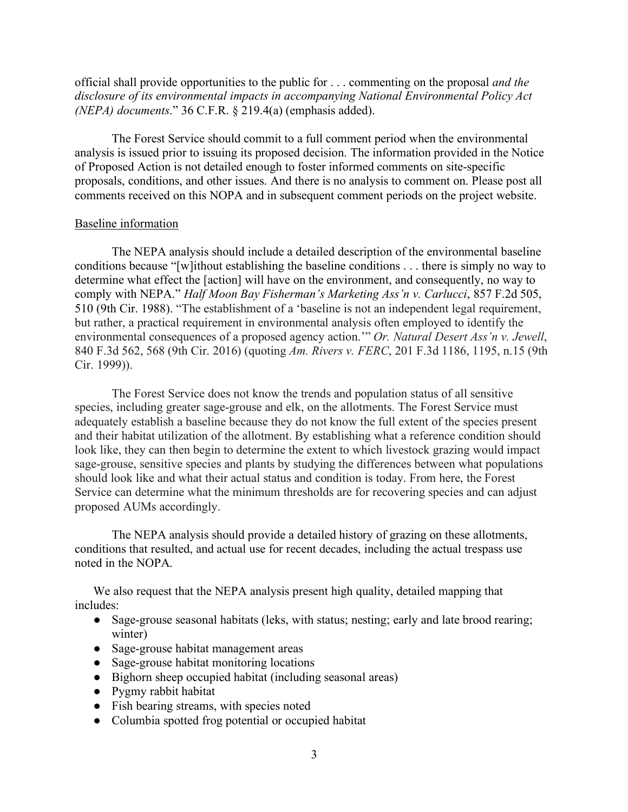official shall provide opportunities to the public for . . . commenting on the proposal *and the disclosure of its environmental impacts in accompanying National Environmental Policy Act (NEPA) documents*." 36 C.F.R. § 219.4(a) (emphasis added).

The Forest Service should commit to a full comment period when the environmental analysis is issued prior to issuing its proposed decision. The information provided in the Notice of Proposed Action is not detailed enough to foster informed comments on site-specific proposals, conditions, and other issues. And there is no analysis to comment on. Please post all comments received on this NOPA and in subsequent comment periods on the project website.

#### Baseline information

The NEPA analysis should include a detailed description of the environmental baseline conditions because "[w]ithout establishing the baseline conditions . . . there is simply no way to determine what effect the [action] will have on the environment, and consequently, no way to comply with NEPA." *Half Moon Bay Fisherman's Marketing Ass'n v. Carlucci*, 857 F.2d 505, 510 (9th Cir. 1988). "The establishment of a 'baseline is not an independent legal requirement, but rather, a practical requirement in environmental analysis often employed to identify the environmental consequences of a proposed agency action.'" *Or. Natural Desert Ass'n v. Jewell*, 840 F.3d 562, 568 (9th Cir. 2016) (quoting *Am. Rivers v. FERC*, 201 F.3d 1186, 1195, n.15 (9th Cir. 1999)).

The Forest Service does not know the trends and population status of all sensitive species, including greater sage-grouse and elk, on the allotments. The Forest Service must adequately establish a baseline because they do not know the full extent of the species present and their habitat utilization of the allotment. By establishing what a reference condition should look like, they can then begin to determine the extent to which livestock grazing would impact sage-grouse, sensitive species and plants by studying the differences between what populations should look like and what their actual status and condition is today. From here, the Forest Service can determine what the minimum thresholds are for recovering species and can adjust proposed AUMs accordingly.

The NEPA analysis should provide a detailed history of grazing on these allotments, conditions that resulted, and actual use for recent decades, including the actual trespass use noted in the NOPA.

We also request that the NEPA analysis present high quality, detailed mapping that includes:

- Sage-grouse seasonal habitats (leks, with status; nesting; early and late brood rearing; winter)
- Sage-grouse habitat management areas
- Sage-grouse habitat monitoring locations
- Bighorn sheep occupied habitat (including seasonal areas)
- Pygmy rabbit habitat
- Fish bearing streams, with species noted
- Columbia spotted frog potential or occupied habitat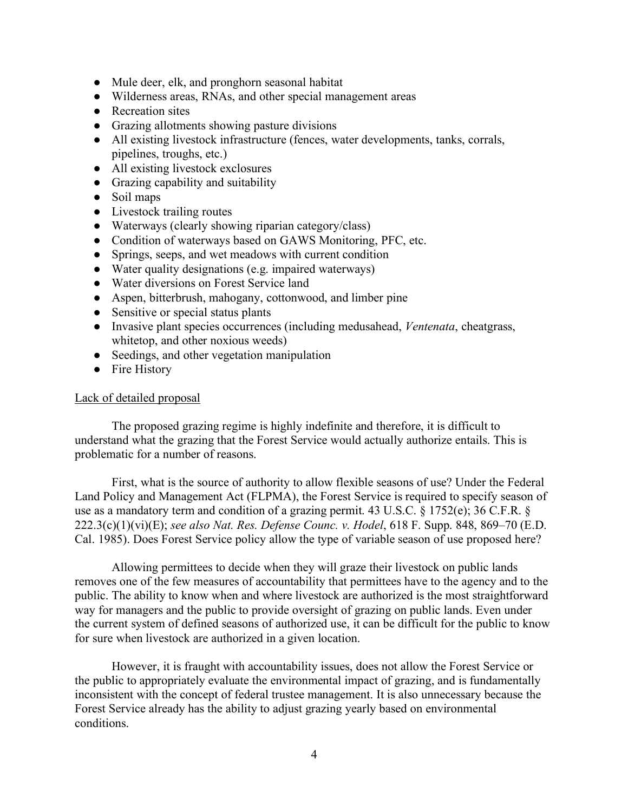- Mule deer, elk, and pronghorn seasonal habitat
- Wilderness areas, RNAs, and other special management areas
- Recreation sites
- Grazing allotments showing pasture divisions
- All existing livestock infrastructure (fences, water developments, tanks, corrals, pipelines, troughs, etc.)
- All existing livestock exclosures
- Grazing capability and suitability
- Soil maps
- Livestock trailing routes
- Waterways (clearly showing riparian category/class)
- Condition of waterways based on GAWS Monitoring, PFC, etc.
- Springs, seeps, and wet meadows with current condition
- Water quality designations (e.g. impaired waterways)
- Water diversions on Forest Service land
- Aspen, bitterbrush, mahogany, cottonwood, and limber pine
- Sensitive or special status plants
- Invasive plant species occurrences (including medusahead, *Ventenata*, cheatgrass, whitetop, and other noxious weeds)
- Seedings, and other vegetation manipulation
- Fire History

## Lack of detailed proposal

The proposed grazing regime is highly indefinite and therefore, it is difficult to understand what the grazing that the Forest Service would actually authorize entails. This is problematic for a number of reasons.

First, what is the source of authority to allow flexible seasons of use? Under the Federal Land Policy and Management Act (FLPMA), the Forest Service is required to specify season of use as a mandatory term and condition of a grazing permit. 43 U.S.C. § 1752(e); 36 C.F.R. § 222.3(c)(1)(vi)(E); *see also Nat. Res. Defense Counc. v. Hodel*, 618 F. Supp. 848, 869–70 (E.D. Cal. 1985). Does Forest Service policy allow the type of variable season of use proposed here?

Allowing permittees to decide when they will graze their livestock on public lands removes one of the few measures of accountability that permittees have to the agency and to the public. The ability to know when and where livestock are authorized is the most straightforward way for managers and the public to provide oversight of grazing on public lands. Even under the current system of defined seasons of authorized use, it can be difficult for the public to know for sure when livestock are authorized in a given location.

However, it is fraught with accountability issues, does not allow the Forest Service or the public to appropriately evaluate the environmental impact of grazing, and is fundamentally inconsistent with the concept of federal trustee management. It is also unnecessary because the Forest Service already has the ability to adjust grazing yearly based on environmental conditions.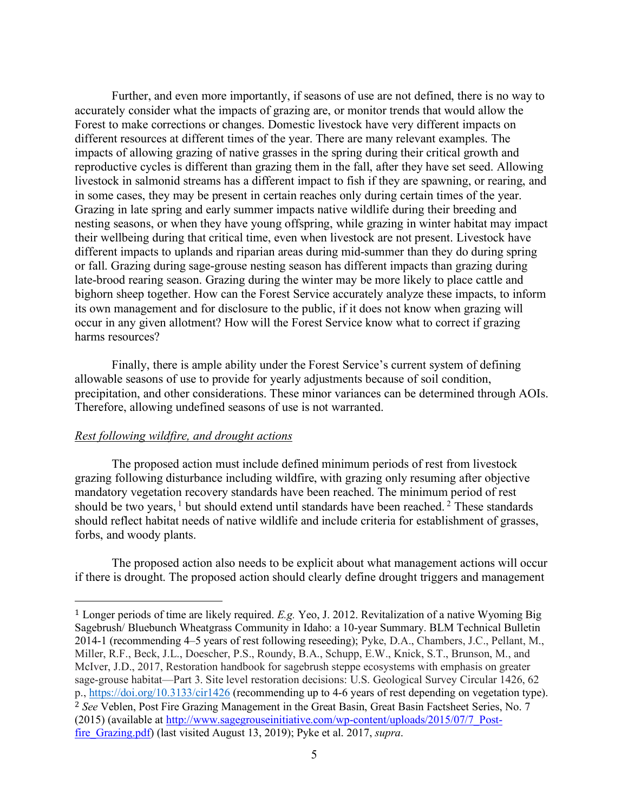Further, and even more importantly, if seasons of use are not defined, there is no way to accurately consider what the impacts of grazing are, or monitor trends that would allow the Forest to make corrections or changes. Domestic livestock have very different impacts on different resources at different times of the year. There are many relevant examples. The impacts of allowing grazing of native grasses in the spring during their critical growth and reproductive cycles is different than grazing them in the fall, after they have set seed. Allowing livestock in salmonid streams has a different impact to fish if they are spawning, or rearing, and in some cases, they may be present in certain reaches only during certain times of the year. Grazing in late spring and early summer impacts native wildlife during their breeding and nesting seasons, or when they have young offspring, while grazing in winter habitat may impact their wellbeing during that critical time, even when livestock are not present. Livestock have different impacts to uplands and riparian areas during mid-summer than they do during spring or fall. Grazing during sage-grouse nesting season has different impacts than grazing during late-brood rearing season. Grazing during the winter may be more likely to place cattle and bighorn sheep together. How can the Forest Service accurately analyze these impacts, to inform its own management and for disclosure to the public, if it does not know when grazing will occur in any given allotment? How will the Forest Service know what to correct if grazing harms resources?

Finally, there is ample ability under the Forest Service's current system of defining allowable seasons of use to provide for yearly adjustments because of soil condition, precipitation, and other considerations. These minor variances can be determined through AOIs. Therefore, allowing undefined seasons of use is not warranted.

### *Rest following wildfire, and drought actions*

 

The proposed action must include defined minimum periods of rest from livestock grazing following disturbance including wildfire, with grazing only resuming after objective mandatory vegetation recovery standards have been reached. The minimum period of rest should be two years,  $1$  but should extend until standards have been reached.  $2$  These standards should reflect habitat needs of native wildlife and include criteria for establishment of grasses, forbs, and woody plants.

The proposed action also needs to be explicit about what management actions will occur if there is drought. The proposed action should clearly define drought triggers and management

<sup>1</sup> Longer periods of time are likely required. *E.g.* Yeo, J. 2012. Revitalization of a native Wyoming Big Sagebrush/ Bluebunch Wheatgrass Community in Idaho: a 10-year Summary. BLM Technical Bulletin 2014-1 (recommending 4–5 years of rest following reseeding); Pyke, D.A., Chambers, J.C., Pellant, M., Miller, R.F., Beck, J.L., Doescher, P.S., Roundy, B.A., Schupp, E.W., Knick, S.T., Brunson, M., and McIver, J.D., 2017, Restoration handbook for sagebrush steppe ecosystems with emphasis on greater sage-grouse habitat—Part 3. Site level restoration decisions: U.S. Geological Survey Circular 1426, 62 p., https://doi.org/10.3133/cir1426 (recommending up to 4-6 years of rest depending on vegetation type). <sup>2</sup> *See* Veblen, Post Fire Grazing Management in the Great Basin, Great Basin Factsheet Series, No. 7 (2015) (available at http://www.sagegrouseinitiative.com/wp-content/uploads/2015/07/7\_Postfire\_Grazing.pdf) (last visited August 13, 2019); Pyke et al. 2017, *supra*.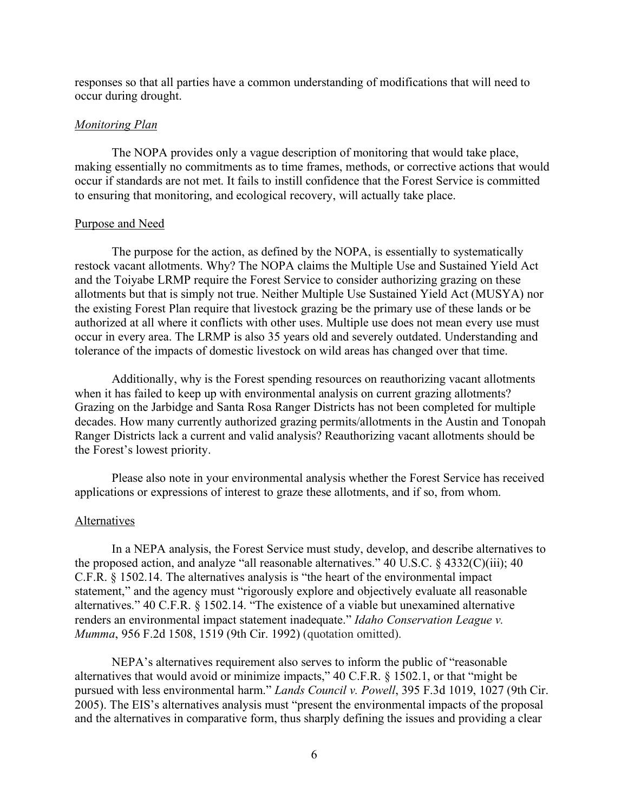responses so that all parties have a common understanding of modifications that will need to occur during drought.

### *Monitoring Plan*

The NOPA provides only a vague description of monitoring that would take place, making essentially no commitments as to time frames, methods, or corrective actions that would occur if standards are not met. It fails to instill confidence that the Forest Service is committed to ensuring that monitoring, and ecological recovery, will actually take place.

#### Purpose and Need

The purpose for the action, as defined by the NOPA, is essentially to systematically restock vacant allotments. Why? The NOPA claims the Multiple Use and Sustained Yield Act and the Toiyabe LRMP require the Forest Service to consider authorizing grazing on these allotments but that is simply not true. Neither Multiple Use Sustained Yield Act (MUSYA) nor the existing Forest Plan require that livestock grazing be the primary use of these lands or be authorized at all where it conflicts with other uses. Multiple use does not mean every use must occur in every area. The LRMP is also 35 years old and severely outdated. Understanding and tolerance of the impacts of domestic livestock on wild areas has changed over that time.

Additionally, why is the Forest spending resources on reauthorizing vacant allotments when it has failed to keep up with environmental analysis on current grazing allotments? Grazing on the Jarbidge and Santa Rosa Ranger Districts has not been completed for multiple decades. How many currently authorized grazing permits/allotments in the Austin and Tonopah Ranger Districts lack a current and valid analysis? Reauthorizing vacant allotments should be the Forest's lowest priority.

Please also note in your environmental analysis whether the Forest Service has received applications or expressions of interest to graze these allotments, and if so, from whom.

### **Alternatives**

In a NEPA analysis, the Forest Service must study, develop, and describe alternatives to the proposed action, and analyze "all reasonable alternatives." 40 U.S.C. § 4332(C)(iii); 40 C.F.R. § 1502.14. The alternatives analysis is "the heart of the environmental impact statement," and the agency must "rigorously explore and objectively evaluate all reasonable alternatives." 40 C.F.R. § 1502.14. "The existence of a viable but unexamined alternative renders an environmental impact statement inadequate." *Idaho Conservation League v. Mumma*, 956 F.2d 1508, 1519 (9th Cir. 1992) (quotation omitted).

NEPA's alternatives requirement also serves to inform the public of "reasonable alternatives that would avoid or minimize impacts," 40 C.F.R. § 1502.1, or that "might be pursued with less environmental harm." *Lands Council v. Powell*, 395 F.3d 1019, 1027 (9th Cir. 2005). The EIS's alternatives analysis must "present the environmental impacts of the proposal and the alternatives in comparative form, thus sharply defining the issues and providing a clear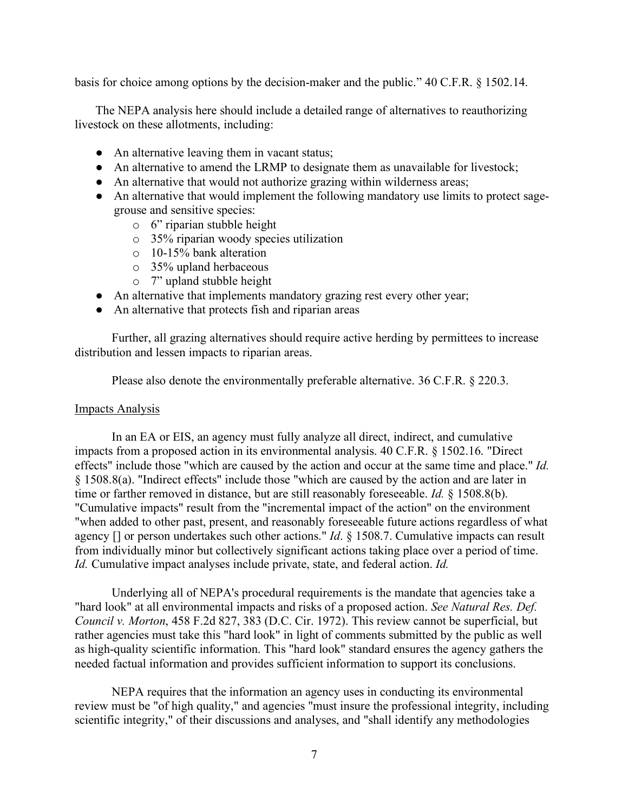basis for choice among options by the decision-maker and the public." 40 C.F.R. § 1502.14.

The NEPA analysis here should include a detailed range of alternatives to reauthorizing livestock on these allotments, including:

- An alternative leaving them in vacant status;
- An alternative to amend the LRMP to designate them as unavailable for livestock;
- An alternative that would not authorize grazing within wilderness areas;
- An alternative that would implement the following mandatory use limits to protect sagegrouse and sensitive species:
	- o 6" riparian stubble height
	- o 35% riparian woody species utilization
	- o 10-15% bank alteration
	- o 35% upland herbaceous
	- o 7" upland stubble height
- An alternative that implements mandatory grazing rest every other year;
- An alternative that protects fish and riparian areas

Further, all grazing alternatives should require active herding by permittees to increase distribution and lessen impacts to riparian areas.

Please also denote the environmentally preferable alternative. 36 C.F.R. § 220.3.

### Impacts Analysis

In an EA or EIS, an agency must fully analyze all direct, indirect, and cumulative impacts from a proposed action in its environmental analysis. 40 C.F.R. § 1502.16. "Direct effects" include those "which are caused by the action and occur at the same time and place." *Id.* § 1508.8(a). "Indirect effects" include those "which are caused by the action and are later in time or farther removed in distance, but are still reasonably foreseeable. *Id.* § 1508.8(b). "Cumulative impacts" result from the "incremental impact of the action" on the environment "when added to other past, present, and reasonably foreseeable future actions regardless of what agency [] or person undertakes such other actions." *Id*. § 1508.7. Cumulative impacts can result from individually minor but collectively significant actions taking place over a period of time. *Id.* Cumulative impact analyses include private, state, and federal action. *Id.*

Underlying all of NEPA's procedural requirements is the mandate that agencies take a "hard look" at all environmental impacts and risks of a proposed action. *See Natural Res. Def. Council v. Morton*, 458 F.2d 827, 383 (D.C. Cir. 1972). This review cannot be superficial, but rather agencies must take this "hard look" in light of comments submitted by the public as well as high-quality scientific information. This "hard look" standard ensures the agency gathers the needed factual information and provides sufficient information to support its conclusions.

NEPA requires that the information an agency uses in conducting its environmental review must be "of high quality," and agencies "must insure the professional integrity, including scientific integrity," of their discussions and analyses, and "shall identify any methodologies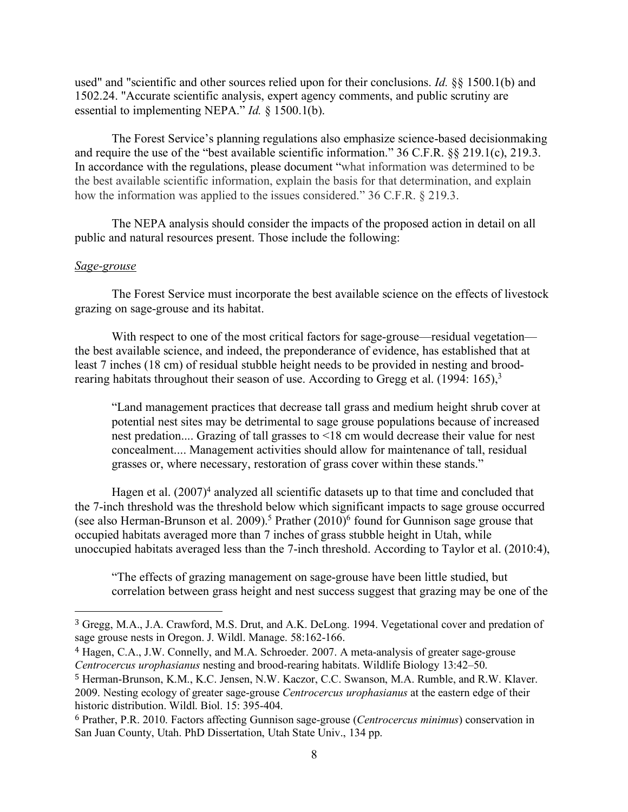used" and "scientific and other sources relied upon for their conclusions. *Id.* §§ 1500.1(b) and 1502.24. "Accurate scientific analysis, expert agency comments, and public scrutiny are essential to implementing NEPA." *Id.* § 1500.1(b).

The Forest Service's planning regulations also emphasize science-based decisionmaking and require the use of the "best available scientific information." 36 C.F.R. §§ 219.1(c), 219.3. In accordance with the regulations, please document "what information was determined to be the best available scientific information, explain the basis for that determination, and explain how the information was applied to the issues considered." 36 C.F.R. § 219.3.

The NEPA analysis should consider the impacts of the proposed action in detail on all public and natural resources present. Those include the following:

#### *Sage-grouse*

 

The Forest Service must incorporate the best available science on the effects of livestock grazing on sage-grouse and its habitat.

With respect to one of the most critical factors for sage-grouse—residual vegetation the best available science, and indeed, the preponderance of evidence, has established that at least 7 inches (18 cm) of residual stubble height needs to be provided in nesting and broodrearing habitats throughout their season of use. According to Gregg et al. (1994: 165),<sup>3</sup>

"Land management practices that decrease tall grass and medium height shrub cover at potential nest sites may be detrimental to sage grouse populations because of increased nest predation.... Grazing of tall grasses to <18 cm would decrease their value for nest concealment.... Management activities should allow for maintenance of tall, residual grasses or, where necessary, restoration of grass cover within these stands."

Hagen et al.  $(2007)^4$  analyzed all scientific datasets up to that time and concluded that the 7-inch threshold was the threshold below which significant impacts to sage grouse occurred (see also Herman-Brunson et al. 2009).<sup>5</sup> Prather  $(2010)^6$  found for Gunnison sage grouse that occupied habitats averaged more than 7 inches of grass stubble height in Utah, while unoccupied habitats averaged less than the 7-inch threshold. According to Taylor et al. (2010:4),

"The effects of grazing management on sage-grouse have been little studied, but correlation between grass height and nest success suggest that grazing may be one of the

<sup>3</sup> Gregg, M.A., J.A. Crawford, M.S. Drut, and A.K. DeLong. 1994. Vegetational cover and predation of sage grouse nests in Oregon. J. Wildl. Manage. 58:162-166.

<sup>4</sup> Hagen, C.A., J.W. Connelly, and M.A. Schroeder. 2007. A meta-analysis of greater sage-grouse *Centrocercus urophasianus* nesting and brood-rearing habitats. Wildlife Biology 13:42–50.

<sup>5</sup> Herman-Brunson, K.M., K.C. Jensen, N.W. Kaczor, C.C. Swanson, M.A. Rumble, and R.W. Klaver. 2009. Nesting ecology of greater sage-grouse *Centrocercus urophasianus* at the eastern edge of their

historic distribution. Wildl. Biol. 15: 395-404.

<sup>6</sup> Prather, P.R. 2010. Factors affecting Gunnison sage-grouse (*Centrocercus minimus*) conservation in San Juan County, Utah. PhD Dissertation, Utah State Univ., 134 pp.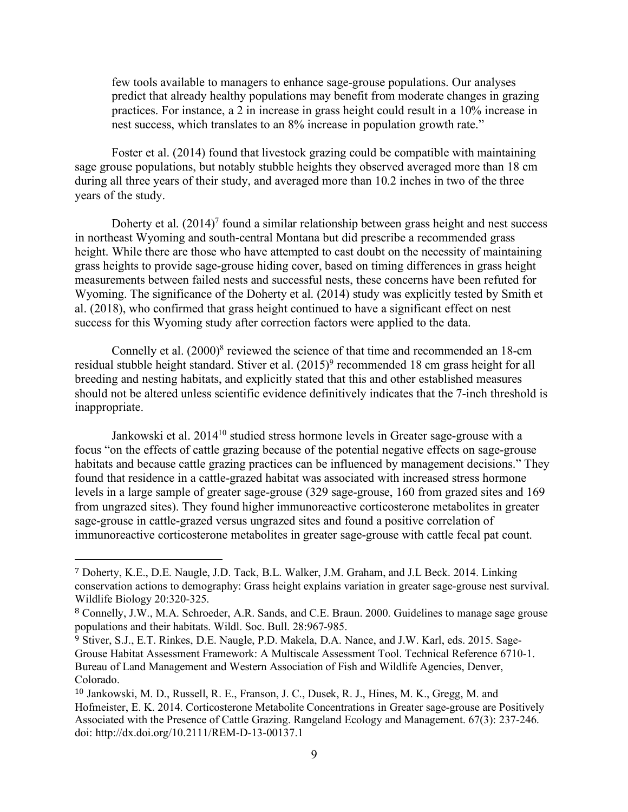few tools available to managers to enhance sage-grouse populations. Our analyses predict that already healthy populations may benefit from moderate changes in grazing practices. For instance, a 2 in increase in grass height could result in a 10% increase in nest success, which translates to an 8% increase in population growth rate."

Foster et al. (2014) found that livestock grazing could be compatible with maintaining sage grouse populations, but notably stubble heights they observed averaged more than 18 cm during all three years of their study, and averaged more than 10.2 inches in two of the three years of the study.

Doherty et al.  $(2014)^7$  found a similar relationship between grass height and nest success in northeast Wyoming and south-central Montana but did prescribe a recommended grass height. While there are those who have attempted to cast doubt on the necessity of maintaining grass heights to provide sage-grouse hiding cover, based on timing differences in grass height measurements between failed nests and successful nests, these concerns have been refuted for Wyoming. The significance of the Doherty et al. (2014) study was explicitly tested by Smith et al. (2018), who confirmed that grass height continued to have a significant effect on nest success for this Wyoming study after correction factors were applied to the data.

Connelly et al.  $(2000)^8$  reviewed the science of that time and recommended an 18-cm residual stubble height standard. Stiver et al.  $(2015)^9$  recommended 18 cm grass height for all breeding and nesting habitats, and explicitly stated that this and other established measures should not be altered unless scientific evidence definitively indicates that the 7-inch threshold is inappropriate.

Jankowski et al. 2014<sup>10</sup> studied stress hormone levels in Greater sage-grouse with a focus "on the effects of cattle grazing because of the potential negative effects on sage-grouse habitats and because cattle grazing practices can be influenced by management decisions." They found that residence in a cattle-grazed habitat was associated with increased stress hormone levels in a large sample of greater sage-grouse (329 sage-grouse, 160 from grazed sites and 169 from ungrazed sites). They found higher immunoreactive corticosterone metabolites in greater sage-grouse in cattle-grazed versus ungrazed sites and found a positive correlation of immunoreactive corticosterone metabolites in greater sage-grouse with cattle fecal pat count.

<sup>7</sup> Doherty, K.E., D.E. Naugle, J.D. Tack, B.L. Walker, J.M. Graham, and J.L Beck. 2014. Linking conservation actions to demography: Grass height explains variation in greater sage-grouse nest survival. Wildlife Biology 20:320-325.

<sup>8</sup> Connelly, J.W., M.A. Schroeder, A.R. Sands, and C.E. Braun. 2000. Guidelines to manage sage grouse populations and their habitats. Wildl. Soc. Bull. 28:967-985.

<sup>9</sup> Stiver, S.J., E.T. Rinkes, D.E. Naugle, P.D. Makela, D.A. Nance, and J.W. Karl, eds. 2015. Sage-Grouse Habitat Assessment Framework: A Multiscale Assessment Tool. Technical Reference 6710-1. Bureau of Land Management and Western Association of Fish and Wildlife Agencies, Denver, Colorado.

<sup>10</sup> Jankowski, M. D., Russell, R. E., Franson, J. C., Dusek, R. J., Hines, M. K., Gregg, M. and Hofmeister, E. K. 2014. Corticosterone Metabolite Concentrations in Greater sage-grouse are Positively Associated with the Presence of Cattle Grazing. Rangeland Ecology and Management. 67(3): 237-246. doi: http://dx.doi.org/10.2111/REM-D-13-00137.1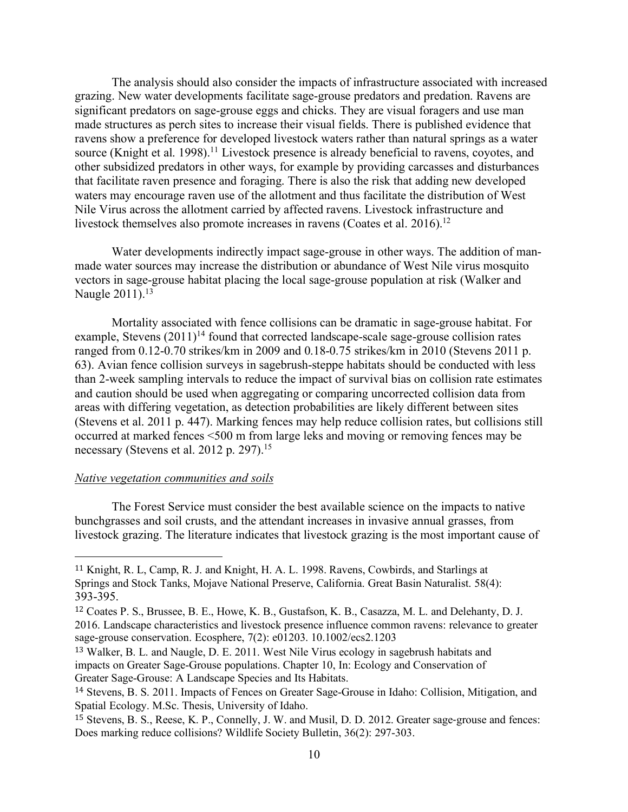The analysis should also consider the impacts of infrastructure associated with increased grazing. New water developments facilitate sage-grouse predators and predation. Ravens are significant predators on sage-grouse eggs and chicks. They are visual foragers and use man made structures as perch sites to increase their visual fields. There is published evidence that ravens show a preference for developed livestock waters rather than natural springs as a water source (Knight et al. 1998).<sup>11</sup> Livestock presence is already beneficial to ravens, coyotes, and other subsidized predators in other ways, for example by providing carcasses and disturbances that facilitate raven presence and foraging. There is also the risk that adding new developed waters may encourage raven use of the allotment and thus facilitate the distribution of West Nile Virus across the allotment carried by affected ravens. Livestock infrastructure and livestock themselves also promote increases in ravens (Coates et al. 2016).<sup>12</sup>

Water developments indirectly impact sage-grouse in other ways. The addition of manmade water sources may increase the distribution or abundance of West Nile virus mosquito vectors in sage-grouse habitat placing the local sage-grouse population at risk (Walker and Naugle 2011).<sup>13</sup>

Mortality associated with fence collisions can be dramatic in sage-grouse habitat. For example, Stevens  $(2011)^{14}$  found that corrected landscape-scale sage-grouse collision rates ranged from 0.12-0.70 strikes/km in 2009 and 0.18-0.75 strikes/km in 2010 (Stevens 2011 p. 63). Avian fence collision surveys in sagebrush-steppe habitats should be conducted with less than 2-week sampling intervals to reduce the impact of survival bias on collision rate estimates and caution should be used when aggregating or comparing uncorrected collision data from areas with differing vegetation, as detection probabilities are likely different between sites (Stevens et al. 2011 p. 447). Marking fences may help reduce collision rates, but collisions still occurred at marked fences <500 m from large leks and moving or removing fences may be necessary (Stevens et al. 2012 p. 297).<sup>15</sup>

### *Native vegetation communities and soils*

 

The Forest Service must consider the best available science on the impacts to native bunchgrasses and soil crusts, and the attendant increases in invasive annual grasses, from livestock grazing. The literature indicates that livestock grazing is the most important cause of

<sup>11</sup> Knight, R. L, Camp, R. J. and Knight, H. A. L. 1998. Ravens, Cowbirds, and Starlings at Springs and Stock Tanks, Mojave National Preserve, California. Great Basin Naturalist. 58(4): 393-395.

<sup>12</sup> Coates P. S., Brussee, B. E., Howe, K. B., Gustafson, K. B., Casazza, M. L. and Delehanty, D. J. 2016. Landscape characteristics and livestock presence influence common ravens: relevance to greater sage-grouse conservation. Ecosphere, 7(2): e01203. 10.1002/ecs2.1203

<sup>13</sup> Walker, B. L. and Naugle, D. E. 2011. West Nile Virus ecology in sagebrush habitats and impacts on Greater Sage-Grouse populations. Chapter 10, In: Ecology and Conservation of Greater Sage-Grouse: A Landscape Species and Its Habitats.

<sup>14</sup> Stevens, B. S. 2011. Impacts of Fences on Greater Sage-Grouse in Idaho: Collision, Mitigation, and Spatial Ecology. M.Sc. Thesis, University of Idaho.

<sup>15</sup> Stevens, B. S., Reese, K. P., Connelly, J. W. and Musil, D. D. 2012. Greater sage-grouse and fences: Does marking reduce collisions? Wildlife Society Bulletin, 36(2): 297-303.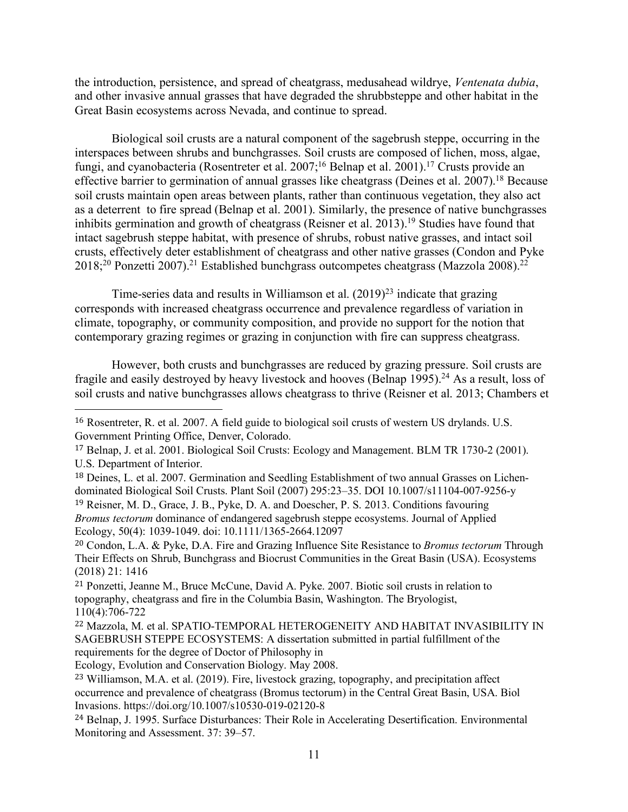the introduction, persistence, and spread of cheatgrass, medusahead wildrye, *Ventenata dubia*, and other invasive annual grasses that have degraded the shrubbsteppe and other habitat in the Great Basin ecosystems across Nevada, and continue to spread.

Biological soil crusts are a natural component of the sagebrush steppe, occurring in the interspaces between shrubs and bunchgrasses. Soil crusts are composed of lichen, moss, algae, fungi, and cyanobacteria (Rosentreter et al. 2007;<sup>16</sup> Belnap et al. 2001).<sup>17</sup> Crusts provide an effective barrier to germination of annual grasses like cheatgrass (Deines et al. 2007).18 Because soil crusts maintain open areas between plants, rather than continuous vegetation, they also act as a deterrent to fire spread (Belnap et al. 2001). Similarly, the presence of native bunchgrasses inhibits germination and growth of cheatgrass (Reisner et al. 2013).<sup>19</sup> Studies have found that intact sagebrush steppe habitat, with presence of shrubs, robust native grasses, and intact soil crusts, effectively deter establishment of cheatgrass and other native grasses (Condon and Pyke  $2018$ <sup>20</sup> Ponzetti 2007).<sup>21</sup> Established bunchgrass outcompetes cheatgrass (Mazzola 2008).<sup>22</sup>

Time-series data and results in Williamson et al.  $(2019)^{23}$  indicate that grazing corresponds with increased cheatgrass occurrence and prevalence regardless of variation in climate, topography, or community composition, and provide no support for the notion that contemporary grazing regimes or grazing in conjunction with fire can suppress cheatgrass.

However, both crusts and bunchgrasses are reduced by grazing pressure. Soil crusts are fragile and easily destroyed by heavy livestock and hooves (Belnap 1995).24 As a result, loss of soil crusts and native bunchgrasses allows cheatgrass to thrive (Reisner et al. 2013; Chambers et

Ecology, Evolution and Conservation Biology. May 2008.

<sup>16</sup> Rosentreter, R. et al. 2007. A field guide to biological soil crusts of western US drylands. U.S. Government Printing Office, Denver, Colorado.

<sup>17</sup> Belnap, J. et al. 2001. Biological Soil Crusts: Ecology and Management. BLM TR 1730-2 (2001). U.S. Department of Interior.

<sup>18</sup> Deines, L. et al. 2007. Germination and Seedling Establishment of two annual Grasses on Lichendominated Biological Soil Crusts. Plant Soil (2007) 295:23–35. DOI 10.1007/s11104-007-9256-y

<sup>19</sup> Reisner, M. D., Grace, J. B., Pyke, D. A. and Doescher, P. S. 2013. Conditions favouring *Bromus tectorum* dominance of endangered sagebrush steppe ecosystems. Journal of Applied Ecology, 50(4): 1039-1049. doi: 10.1111/1365-2664.12097

<sup>20</sup> Condon, L.A. & Pyke, D.A. Fire and Grazing Influence Site Resistance to *Bromus tectorum* Through Their Effects on Shrub, Bunchgrass and Biocrust Communities in the Great Basin (USA). Ecosystems (2018) 21: 1416

<sup>21</sup> Ponzetti, Jeanne M., Bruce McCune, David A. Pyke. 2007. Biotic soil crusts in relation to topography, cheatgrass and fire in the Columbia Basin, Washington. The Bryologist, 110(4):706-722

<sup>22</sup> Mazzola, M. et al. SPATIO-TEMPORAL HETEROGENEITY AND HABITAT INVASIBILITY IN SAGEBRUSH STEPPE ECOSYSTEMS: A dissertation submitted in partial fulfillment of the requirements for the degree of Doctor of Philosophy in

<sup>23</sup> Williamson, M.A. et al. (2019). Fire, livestock grazing, topography, and precipitation affect occurrence and prevalence of cheatgrass (Bromus tectorum) in the Central Great Basin, USA. Biol Invasions. https://doi.org/10.1007/s10530-019-02120-8

<sup>24</sup> Belnap, J. 1995. Surface Disturbances: Their Role in Accelerating Desertification. Environmental Monitoring and Assessment. 37: 39–57.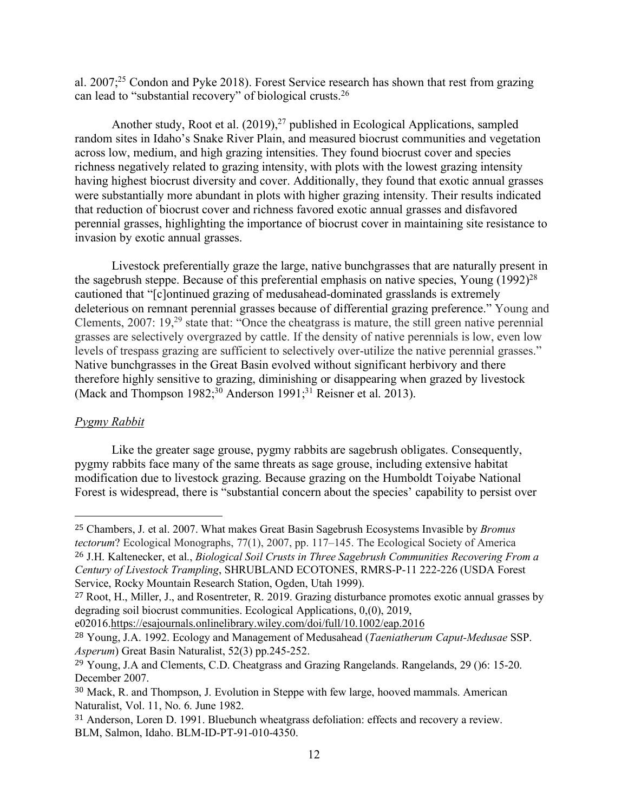al.  $2007<sup>25</sup>$  Condon and Pyke 2018). Forest Service research has shown that rest from grazing can lead to "substantial recovery" of biological crusts.26

Another study, Root et al.  $(2019)$ ,<sup>27</sup> published in Ecological Applications, sampled random sites in Idaho's Snake River Plain, and measured biocrust communities and vegetation across low, medium, and high grazing intensities. They found biocrust cover and species richness negatively related to grazing intensity, with plots with the lowest grazing intensity having highest biocrust diversity and cover. Additionally, they found that exotic annual grasses were substantially more abundant in plots with higher grazing intensity. Their results indicated that reduction of biocrust cover and richness favored exotic annual grasses and disfavored perennial grasses, highlighting the importance of biocrust cover in maintaining site resistance to invasion by exotic annual grasses.

Livestock preferentially graze the large, native bunchgrasses that are naturally present in the sagebrush steppe. Because of this preferential emphasis on native species, Young  $(1992)^{28}$ cautioned that "[c]ontinued grazing of medusahead-dominated grasslands is extremely deleterious on remnant perennial grasses because of differential grazing preference." Young and Clements, 2007: 19<sup>29</sup> state that: "Once the cheatgrass is mature, the still green native perennial grasses are selectively overgrazed by cattle. If the density of native perennials is low, even low levels of trespass grazing are sufficient to selectively over-utilize the native perennial grasses." Native bunchgrasses in the Great Basin evolved without significant herbivory and there therefore highly sensitive to grazing, diminishing or disappearing when grazed by livestock (Mack and Thompson  $1982$ ;<sup>30</sup> Anderson  $1991$ ;<sup>31</sup> Reisner et al. 2013).

## *Pygmy Rabbit*

 

Like the greater sage grouse, pygmy rabbits are sagebrush obligates. Consequently, pygmy rabbits face many of the same threats as sage grouse, including extensive habitat modification due to livestock grazing. Because grazing on the Humboldt Toiyabe National Forest is widespread, there is "substantial concern about the species' capability to persist over

e02016.https://esajournals.onlinelibrary.wiley.com/doi/full/10.1002/eap.2016

<sup>25</sup> Chambers, J. et al. 2007. What makes Great Basin Sagebrush Ecosystems Invasible by *Bromus tectorum*? Ecological Monographs, 77(1), 2007, pp. 117–145. The Ecological Society of America <sup>26</sup> J.H. Kaltenecker, et al., *Biological Soil Crusts in Three Sagebrush Communities Recovering From a Century of Livestock Trampling*, SHRUBLAND ECOTONES, RMRS-P-11 222-226 (USDA Forest Service, Rocky Mountain Research Station, Ogden, Utah 1999).

<sup>27</sup> Root, H., Miller, J., and Rosentreter, R. 2019. Grazing disturbance promotes exotic annual grasses by degrading soil biocrust communities. Ecological Applications, 0,(0), 2019,

<sup>28</sup> Young, J.A. 1992. Ecology and Management of Medusahead (*Taeniatherum Caput-Medusae* SSP. *Asperum*) Great Basin Naturalist, 52(3) pp.245-252.

<sup>29</sup> Young, J.A and Clements, C.D. Cheatgrass and Grazing Rangelands. Rangelands, 29 ()6: 15-20. December 2007.

<sup>30</sup> Mack, R. and Thompson, J. Evolution in Steppe with few large, hooved mammals. American Naturalist, Vol. 11, No. 6. June 1982.

<sup>31</sup> Anderson, Loren D. 1991. Bluebunch wheatgrass defoliation: effects and recovery a review. BLM, Salmon, Idaho. BLM-ID-PT-91-010-4350.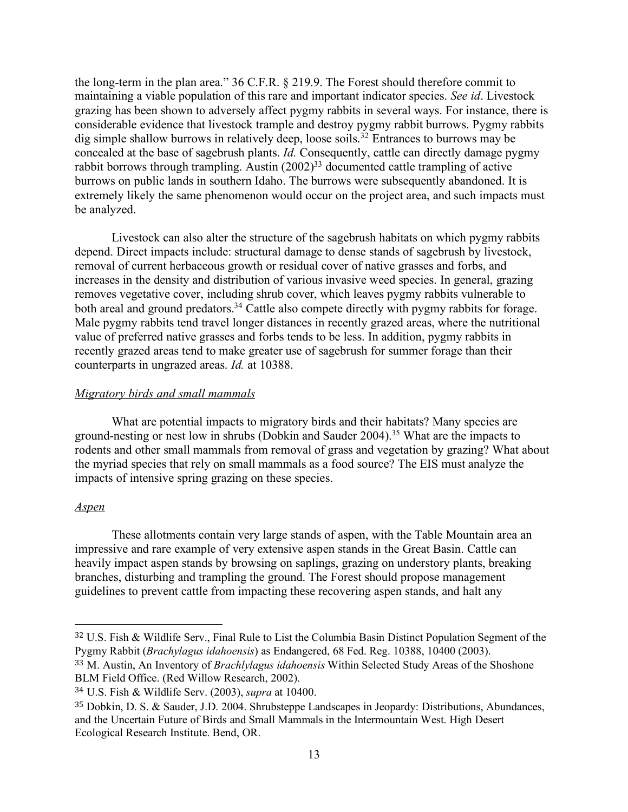the long-term in the plan area." 36 C.F.R. § 219.9. The Forest should therefore commit to maintaining a viable population of this rare and important indicator species. *See id*. Livestock grazing has been shown to adversely affect pygmy rabbits in several ways. For instance, there is considerable evidence that livestock trample and destroy pygmy rabbit burrows. Pygmy rabbits dig simple shallow burrows in relatively deep, loose soils.<sup>32</sup> Entrances to burrows may be concealed at the base of sagebrush plants. *Id.* Consequently, cattle can directly damage pygmy rabbit borrows through trampling. Austin  $(2002)^{33}$  documented cattle trampling of active burrows on public lands in southern Idaho. The burrows were subsequently abandoned. It is extremely likely the same phenomenon would occur on the project area, and such impacts must be analyzed.

Livestock can also alter the structure of the sagebrush habitats on which pygmy rabbits depend. Direct impacts include: structural damage to dense stands of sagebrush by livestock, removal of current herbaceous growth or residual cover of native grasses and forbs, and increases in the density and distribution of various invasive weed species. In general, grazing removes vegetative cover, including shrub cover, which leaves pygmy rabbits vulnerable to both areal and ground predators.<sup>34</sup> Cattle also compete directly with pygmy rabbits for forage. Male pygmy rabbits tend travel longer distances in recently grazed areas, where the nutritional value of preferred native grasses and forbs tends to be less. In addition, pygmy rabbits in recently grazed areas tend to make greater use of sagebrush for summer forage than their counterparts in ungrazed areas. *Id.* at 10388.

## *Migratory birds and small mammals*

What are potential impacts to migratory birds and their habitats? Many species are ground-nesting or nest low in shrubs (Dobkin and Sauder 2004).35 What are the impacts to rodents and other small mammals from removal of grass and vegetation by grazing? What about the myriad species that rely on small mammals as a food source? The EIS must analyze the impacts of intensive spring grazing on these species.

## *Aspen*

These allotments contain very large stands of aspen, with the Table Mountain area an impressive and rare example of very extensive aspen stands in the Great Basin. Cattle can heavily impact aspen stands by browsing on saplings, grazing on understory plants, breaking branches, disturbing and trampling the ground. The Forest should propose management guidelines to prevent cattle from impacting these recovering aspen stands, and halt any

<sup>32</sup> U.S. Fish & Wildlife Serv., Final Rule to List the Columbia Basin Distinct Population Segment of the Pygmy Rabbit (*Brachylagus idahoensis*) as Endangered, 68 Fed. Reg. 10388, 10400 (2003).

<sup>33</sup> M. Austin, An Inventory of *Brachlylagus idahoensis* Within Selected Study Areas of the Shoshone BLM Field Office. (Red Willow Research, 2002).

<sup>34</sup> U.S. Fish & Wildlife Serv. (2003), *supra* at 10400.

<sup>35</sup> Dobkin, D. S. & Sauder, J.D. 2004. Shrubsteppe Landscapes in Jeopardy: Distributions, Abundances, and the Uncertain Future of Birds and Small Mammals in the Intermountain West. High Desert Ecological Research Institute. Bend, OR.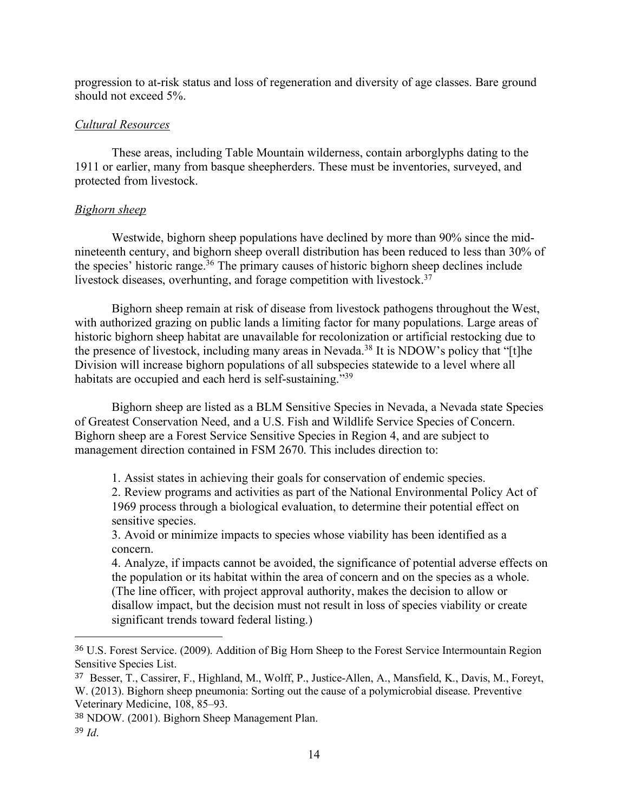progression to at-risk status and loss of regeneration and diversity of age classes. Bare ground should not exceed 5%.

## *Cultural Resources*

These areas, including Table Mountain wilderness, contain arborglyphs dating to the 1911 or earlier, many from basque sheepherders. These must be inventories, surveyed, and protected from livestock.

## *Bighorn sheep*

Westwide, bighorn sheep populations have declined by more than 90% since the midnineteenth century, and bighorn sheep overall distribution has been reduced to less than 30% of the species' historic range.36 The primary causes of historic bighorn sheep declines include livestock diseases, overhunting, and forage competition with livestock.<sup>37</sup>

Bighorn sheep remain at risk of disease from livestock pathogens throughout the West, with authorized grazing on public lands a limiting factor for many populations. Large areas of historic bighorn sheep habitat are unavailable for recolonization or artificial restocking due to the presence of livestock, including many areas in Nevada.<sup>38</sup> It is NDOW's policy that "[t]he Division will increase bighorn populations of all subspecies statewide to a level where all habitats are occupied and each herd is self-sustaining.<sup>"39</sup>

Bighorn sheep are listed as a BLM Sensitive Species in Nevada, a Nevada state Species of Greatest Conservation Need, and a U.S. Fish and Wildlife Service Species of Concern. Bighorn sheep are a Forest Service Sensitive Species in Region 4, and are subject to management direction contained in FSM 2670. This includes direction to:

1. Assist states in achieving their goals for conservation of endemic species.

2. Review programs and activities as part of the National Environmental Policy Act of 1969 process through a biological evaluation, to determine their potential effect on sensitive species.

3. Avoid or minimize impacts to species whose viability has been identified as a concern.

4. Analyze, if impacts cannot be avoided, the significance of potential adverse effects on the population or its habitat within the area of concern and on the species as a whole. (The line officer, with project approval authority, makes the decision to allow or disallow impact, but the decision must not result in loss of species viability or create significant trends toward federal listing.)

<sup>36</sup> U.S. Forest Service. (2009). Addition of Big Horn Sheep to the Forest Service Intermountain Region Sensitive Species List.

<sup>37</sup> Besser, T., Cassirer, F., Highland, M., Wolff, P., Justice-Allen, A., Mansfield, K., Davis, M., Foreyt, W. (2013). Bighorn sheep pneumonia: Sorting out the cause of a polymicrobial disease. Preventive Veterinary Medicine, 108, 85–93.

<sup>38</sup> NDOW. (2001). Bighorn Sheep Management Plan.

<sup>39</sup> *Id*.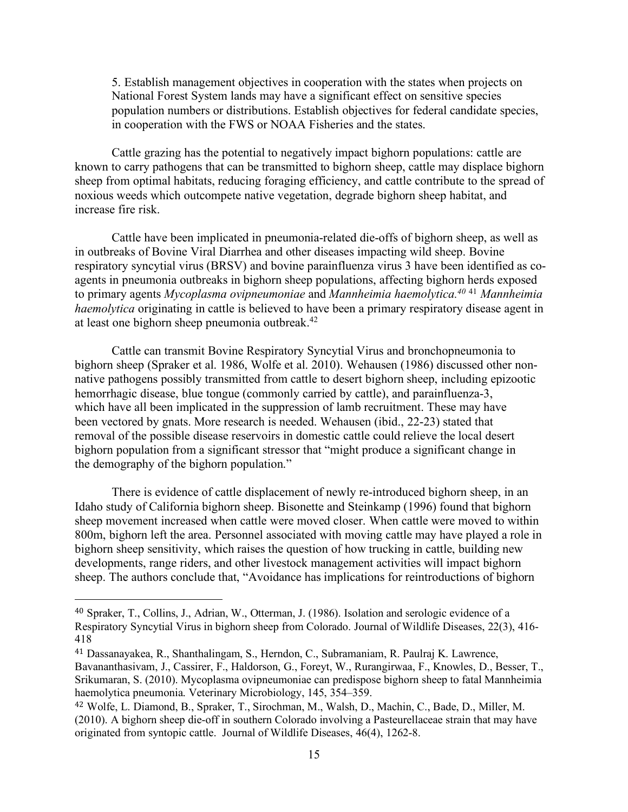5. Establish management objectives in cooperation with the states when projects on National Forest System lands may have a significant effect on sensitive species population numbers or distributions. Establish objectives for federal candidate species, in cooperation with the FWS or NOAA Fisheries and the states.

Cattle grazing has the potential to negatively impact bighorn populations: cattle are known to carry pathogens that can be transmitted to bighorn sheep, cattle may displace bighorn sheep from optimal habitats, reducing foraging efficiency, and cattle contribute to the spread of noxious weeds which outcompete native vegetation, degrade bighorn sheep habitat, and increase fire risk.

Cattle have been implicated in pneumonia-related die-offs of bighorn sheep, as well as in outbreaks of Bovine Viral Diarrhea and other diseases impacting wild sheep. Bovine respiratory syncytial virus (BRSV) and bovine parainfluenza virus 3 have been identified as coagents in pneumonia outbreaks in bighorn sheep populations, affecting bighorn herds exposed to primary agents *Mycoplasma ovipneumoniae* and *Mannheimia haemolytica.40* <sup>41</sup> *Mannheimia haemolytica* originating in cattle is believed to have been a primary respiratory disease agent in at least one bighorn sheep pneumonia outbreak.42

Cattle can transmit Bovine Respiratory Syncytial Virus and bronchopneumonia to bighorn sheep (Spraker et al. 1986, Wolfe et al. 2010). Wehausen (1986) discussed other nonnative pathogens possibly transmitted from cattle to desert bighorn sheep, including epizootic hemorrhagic disease, blue tongue (commonly carried by cattle), and parainfluenza-3, which have all been implicated in the suppression of lamb recruitment. These may have been vectored by gnats. More research is needed. Wehausen (ibid., 22-23) stated that removal of the possible disease reservoirs in domestic cattle could relieve the local desert bighorn population from a significant stressor that "might produce a significant change in the demography of the bighorn population."

There is evidence of cattle displacement of newly re-introduced bighorn sheep, in an Idaho study of California bighorn sheep. Bisonette and Steinkamp (1996) found that bighorn sheep movement increased when cattle were moved closer. When cattle were moved to within 800m, bighorn left the area. Personnel associated with moving cattle may have played a role in bighorn sheep sensitivity, which raises the question of how trucking in cattle, building new developments, range riders, and other livestock management activities will impact bighorn sheep. The authors conclude that, "Avoidance has implications for reintroductions of bighorn

<sup>40</sup> Spraker, T., Collins, J., Adrian, W., Otterman, J. (1986). Isolation and serologic evidence of a Respiratory Syncytial Virus in bighorn sheep from Colorado. Journal of Wildlife Diseases, 22(3), 416- 418

<sup>41</sup> Dassanayakea, R., Shanthalingam, S., Herndon, C., Subramaniam, R. Paulraj K. Lawrence, Bavananthasivam, J., Cassirer, F., Haldorson, G., Foreyt, W., Rurangirwaa, F., Knowles, D., Besser, T., Srikumaran, S. (2010). Mycoplasma ovipneumoniae can predispose bighorn sheep to fatal Mannheimia haemolytica pneumonia. Veterinary Microbiology, 145, 354–359.

<sup>42</sup> Wolfe, L. Diamond, B., Spraker, T., Sirochman, M., Walsh, D., Machin, C., Bade, D., Miller, M. (2010). A bighorn sheep die-off in southern Colorado involving a Pasteurellaceae strain that may have originated from syntopic cattle. Journal of Wildlife Diseases, 46(4), 1262-8.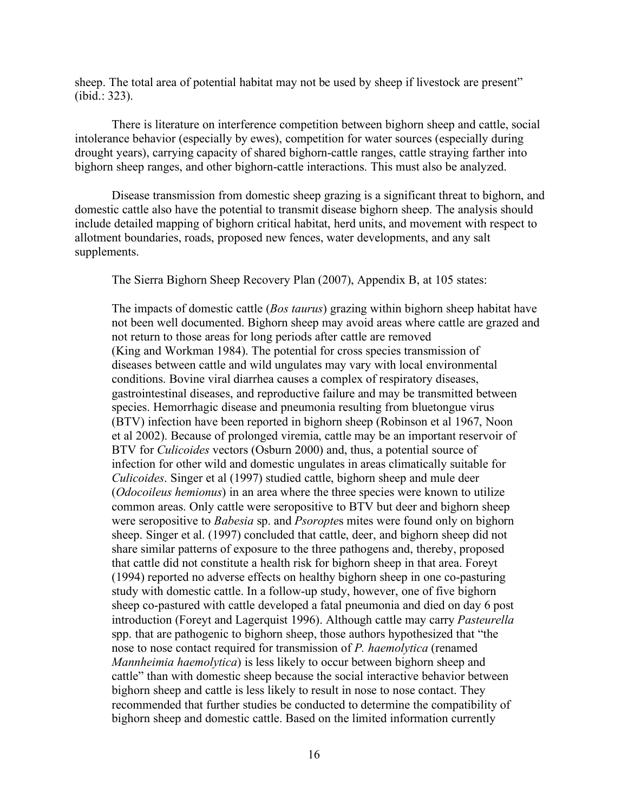sheep. The total area of potential habitat may not be used by sheep if livestock are present" (ibid.: 323).

There is literature on interference competition between bighorn sheep and cattle, social intolerance behavior (especially by ewes), competition for water sources (especially during drought years), carrying capacity of shared bighorn-cattle ranges, cattle straying farther into bighorn sheep ranges, and other bighorn-cattle interactions. This must also be analyzed.

Disease transmission from domestic sheep grazing is a significant threat to bighorn, and domestic cattle also have the potential to transmit disease bighorn sheep. The analysis should include detailed mapping of bighorn critical habitat, herd units, and movement with respect to allotment boundaries, roads, proposed new fences, water developments, and any salt supplements.

The Sierra Bighorn Sheep Recovery Plan (2007), Appendix B, at 105 states:

The impacts of domestic cattle (*Bos taurus*) grazing within bighorn sheep habitat have not been well documented. Bighorn sheep may avoid areas where cattle are grazed and not return to those areas for long periods after cattle are removed (King and Workman 1984). The potential for cross species transmission of diseases between cattle and wild ungulates may vary with local environmental conditions. Bovine viral diarrhea causes a complex of respiratory diseases, gastrointestinal diseases, and reproductive failure and may be transmitted between species. Hemorrhagic disease and pneumonia resulting from bluetongue virus (BTV) infection have been reported in bighorn sheep (Robinson et al 1967, Noon et al 2002). Because of prolonged viremia, cattle may be an important reservoir of BTV for *Culicoides* vectors (Osburn 2000) and, thus, a potential source of infection for other wild and domestic ungulates in areas climatically suitable for *Culicoides*. Singer et al (1997) studied cattle, bighorn sheep and mule deer (*Odocoileus hemionus*) in an area where the three species were known to utilize common areas. Only cattle were seropositive to BTV but deer and bighorn sheep were seropositive to *Babesia* sp. and *Psoropte*s mites were found only on bighorn sheep. Singer et al. (1997) concluded that cattle, deer, and bighorn sheep did not share similar patterns of exposure to the three pathogens and, thereby, proposed that cattle did not constitute a health risk for bighorn sheep in that area. Foreyt (1994) reported no adverse effects on healthy bighorn sheep in one co-pasturing study with domestic cattle. In a follow-up study, however, one of five bighorn sheep co-pastured with cattle developed a fatal pneumonia and died on day 6 post introduction (Foreyt and Lagerquist 1996). Although cattle may carry *Pasteurella* spp. that are pathogenic to bighorn sheep, those authors hypothesized that "the nose to nose contact required for transmission of *P. haemolytica* (renamed *Mannheimia haemolytica*) is less likely to occur between bighorn sheep and cattle" than with domestic sheep because the social interactive behavior between bighorn sheep and cattle is less likely to result in nose to nose contact. They recommended that further studies be conducted to determine the compatibility of bighorn sheep and domestic cattle. Based on the limited information currently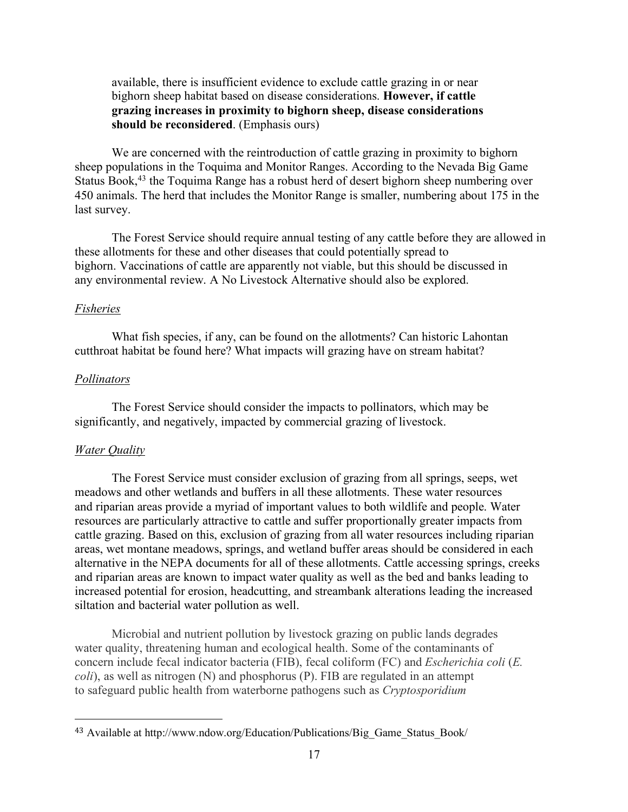available, there is insufficient evidence to exclude cattle grazing in or near bighorn sheep habitat based on disease considerations. **However, if cattle grazing increases in proximity to bighorn sheep, disease considerations should be reconsidered**. (Emphasis ours)

We are concerned with the reintroduction of cattle grazing in proximity to bighorn sheep populations in the Toquima and Monitor Ranges. According to the Nevada Big Game Status Book,<sup>43</sup> the Toquima Range has a robust herd of desert bighorn sheep numbering over 450 animals. The herd that includes the Monitor Range is smaller, numbering about 175 in the last survey.

The Forest Service should require annual testing of any cattle before they are allowed in these allotments for these and other diseases that could potentially spread to bighorn. Vaccinations of cattle are apparently not viable, but this should be discussed in any environmental review. A No Livestock Alternative should also be explored.

#### *Fisheries*

What fish species, if any, can be found on the allotments? Can historic Lahontan cutthroat habitat be found here? What impacts will grazing have on stream habitat?

## *Pollinators*

The Forest Service should consider the impacts to pollinators, which may be significantly, and negatively, impacted by commercial grazing of livestock.

### *Water Quality*

 

The Forest Service must consider exclusion of grazing from all springs, seeps, wet meadows and other wetlands and buffers in all these allotments. These water resources and riparian areas provide a myriad of important values to both wildlife and people. Water resources are particularly attractive to cattle and suffer proportionally greater impacts from cattle grazing. Based on this, exclusion of grazing from all water resources including riparian areas, wet montane meadows, springs, and wetland buffer areas should be considered in each alternative in the NEPA documents for all of these allotments. Cattle accessing springs, creeks and riparian areas are known to impact water quality as well as the bed and banks leading to increased potential for erosion, headcutting, and streambank alterations leading the increased siltation and bacterial water pollution as well.

Microbial and nutrient pollution by livestock grazing on public lands degrades water quality, threatening human and ecological health. Some of the contaminants of concern include fecal indicator bacteria (FIB), fecal coliform (FC) and *Escherichia coli* (*E. coli*), as well as nitrogen (N) and phosphorus (P). FIB are regulated in an attempt to safeguard public health from waterborne pathogens such as *Cryptosporidium*

<sup>43</sup> Available at http://www.ndow.org/Education/Publications/Big\_Game\_Status\_Book/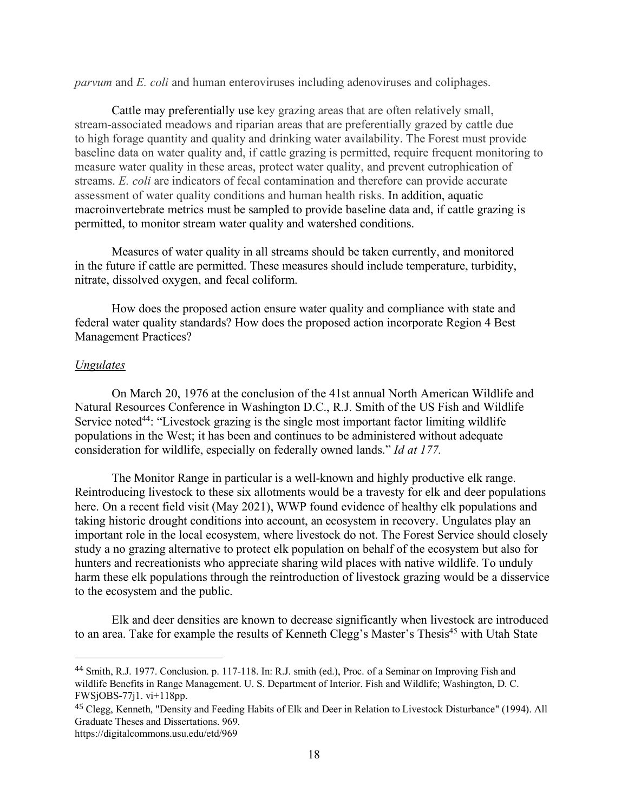*parvum* and *E. coli* and human enteroviruses including adenoviruses and coliphages.

Cattle may preferentially use key grazing areas that are often relatively small, stream-associated meadows and riparian areas that are preferentially grazed by cattle due to high forage quantity and quality and drinking water availability. The Forest must provide baseline data on water quality and, if cattle grazing is permitted, require frequent monitoring to measure water quality in these areas, protect water quality, and prevent eutrophication of streams. *E. coli* are indicators of fecal contamination and therefore can provide accurate assessment of water quality conditions and human health risks. In addition, aquatic macroinvertebrate metrics must be sampled to provide baseline data and, if cattle grazing is permitted, to monitor stream water quality and watershed conditions.

Measures of water quality in all streams should be taken currently, and monitored in the future if cattle are permitted. These measures should include temperature, turbidity, nitrate, dissolved oxygen, and fecal coliform.

How does the proposed action ensure water quality and compliance with state and federal water quality standards? How does the proposed action incorporate Region 4 Best Management Practices?

#### *Ungulates*

On March 20, 1976 at the conclusion of the 41st annual North American Wildlife and Natural Resources Conference in Washington D.C., R.J. Smith of the US Fish and Wildlife Service noted<sup>44</sup>: "Livestock grazing is the single most important factor limiting wildlife populations in the West; it has been and continues to be administered without adequate consideration for wildlife, especially on federally owned lands." *Id at 177.* 

The Monitor Range in particular is a well-known and highly productive elk range. Reintroducing livestock to these six allotments would be a travesty for elk and deer populations here. On a recent field visit (May 2021), WWP found evidence of healthy elk populations and taking historic drought conditions into account, an ecosystem in recovery. Ungulates play an important role in the local ecosystem, where livestock do not. The Forest Service should closely study a no grazing alternative to protect elk population on behalf of the ecosystem but also for hunters and recreationists who appreciate sharing wild places with native wildlife. To unduly harm these elk populations through the reintroduction of livestock grazing would be a disservice to the ecosystem and the public.

Elk and deer densities are known to decrease significantly when livestock are introduced to an area. Take for example the results of Kenneth Clegg's Master's Thesis<sup>45</sup> with Utah State

<sup>44</sup> Smith, R.J. 1977. Conclusion. p. 117-118. In: R.J. smith (ed.), Proc. of a Seminar on Improving Fish and wildlife Benefits in Range Management. U. S. Department of Interior. Fish and Wildlife; Washington, D. C. FWSjOBS-77j1. vi+118pp.

<sup>45</sup> Clegg, Kenneth, "Density and Feeding Habits of Elk and Deer in Relation to Livestock Disturbance" (1994). All Graduate Theses and Dissertations. 969.

https://digitalcommons.usu.edu/etd/969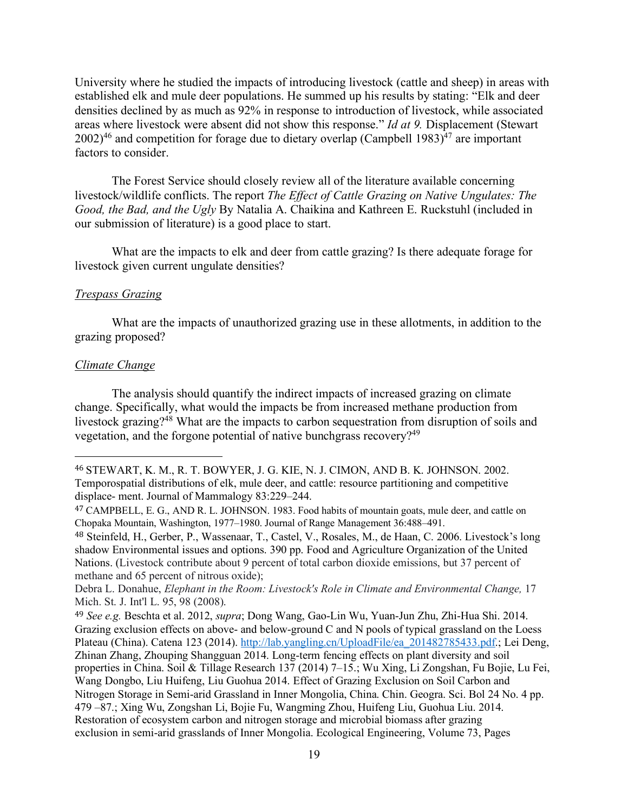University where he studied the impacts of introducing livestock (cattle and sheep) in areas with established elk and mule deer populations. He summed up his results by stating: "Elk and deer densities declined by as much as 92% in response to introduction of livestock, while associated areas where livestock were absent did not show this response." *Id at 9.* Displacement (Stewart  $2002$ <sup>46</sup> and competition for forage due to dietary overlap (Campbell 1983)<sup>47</sup> are important factors to consider.

The Forest Service should closely review all of the literature available concerning livestock/wildlife conflicts. The report *The Effect of Cattle Grazing on Native Ungulates: The Good, the Bad, and the Ugly* By Natalia A. Chaikina and Kathreen E. Ruckstuhl (included in our submission of literature) is a good place to start.

What are the impacts to elk and deer from cattle grazing? Is there adequate forage for livestock given current ungulate densities?

### *Trespass Grazing*

What are the impacts of unauthorized grazing use in these allotments, in addition to the grazing proposed?

### *Climate Change*

 

The analysis should quantify the indirect impacts of increased grazing on climate change. Specifically, what would the impacts be from increased methane production from livestock grazing?48 What are the impacts to carbon sequestration from disruption of soils and vegetation, and the forgone potential of native bunchgrass recovery?49

<sup>48</sup> Steinfeld, H., Gerber, P., Wassenaar, T., Castel, V., Rosales, M., de Haan, C. 2006. Livestock's long shadow Environmental issues and options. 390 pp. Food and Agriculture Organization of the United Nations. (Livestock contribute about 9 percent of total carbon dioxide emissions, but 37 percent of methane and 65 percent of nitrous oxide);

<sup>49</sup> *See e.g.* Beschta et al. 2012, *supra*; Dong Wang, Gao-Lin Wu, Yuan-Jun Zhu, Zhi-Hua Shi. 2014. Grazing exclusion effects on above- and below-ground C and N pools of typical grassland on the Loess Plateau (China). Catena 123 (2014). http://lab.yangling.cn/UploadFile/ea\_201482785433.pdf.; Lei Deng, Zhinan Zhang, Zhouping Shangguan 2014. Long-term fencing effects on plant diversity and soil properties in China. Soil & Tillage Research 137 (2014) 7–15.; Wu Xing, Li Zongshan, Fu Bojie, Lu Fei, Wang Dongbo, Liu Huifeng, Liu Guohua 2014. Effect of Grazing Exclusion on Soil Carbon and Nitrogen Storage in Semi-arid Grassland in Inner Mongolia, China. Chin. Geogra. Sci. Bol 24 No. 4 pp. 479 –87.; Xing Wu, Zongshan Li, Bojie Fu, Wangming Zhou, Huifeng Liu, Guohua Liu. 2014. Restoration of ecosystem carbon and nitrogen storage and microbial biomass after grazing exclusion in semi-arid grasslands of Inner Mongolia. Ecological Engineering, Volume 73, Pages

<sup>46</sup> STEWART, K. M., R. T. BOWYER, J. G. KIE, N. J. CIMON, AND B. K. JOHNSON. 2002. Temporospatial distributions of elk, mule deer, and cattle: resource partitioning and competitive displace- ment. Journal of Mammalogy 83:229–244.

<sup>47</sup> CAMPBELL, E. G., AND R. L. JOHNSON. 1983. Food habits of mountain goats, mule deer, and cattle on Chopaka Mountain, Washington, 1977–1980. Journal of Range Management 36:488–491.

Debra L. Donahue, *Elephant in the Room: Livestock's Role in Climate and Environmental Change,* 17 Mich. St. J. Int'l L. 95, 98 (2008).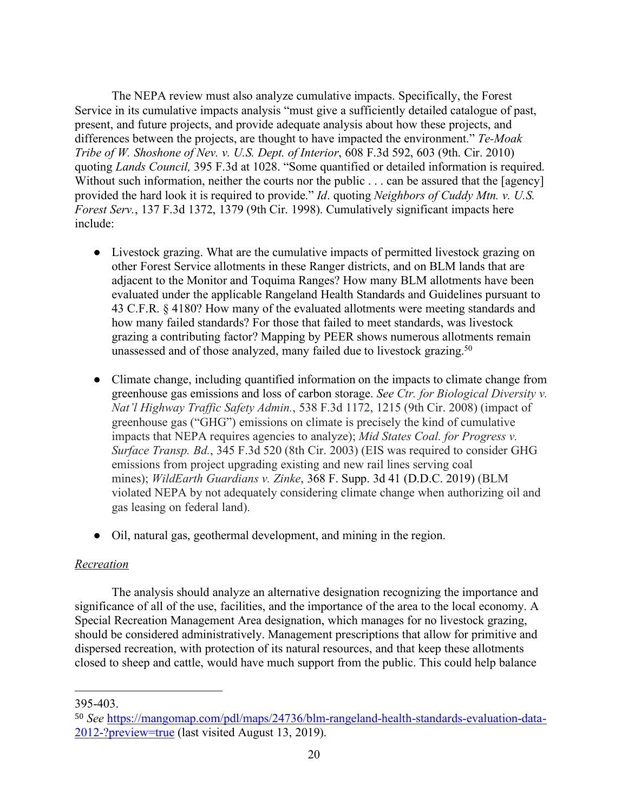The NEPA review must also analyze cumulative impacts. Specifically, the Forest Service in its cumulative impacts analysis "must give a sufficiently detailed catalogue of past, present, and future projects, and provide adequate analysis about how these projects, and differences between the projects, are thought to have impacted the environment." *Te-Moak Tribe of W. Shoshone of Nev. v. U.S. Dept. of Interior*, 608 F.3d 592, 603 (9th. Cir. 2010) quoting *Lands Council,* 395 F.3d at 1028. "Some quantified or detailed information is required. Without such information, neither the courts nor the public . . . can be assured that the [agency] provided the hard look it is required to provide." *Id*. quoting *Neighbors of Cuddy Mtn. v. U.S. Forest Serv.*, 137 F.3d 1372, 1379 (9th Cir. 1998). Cumulatively significant impacts here include:

- Livestock grazing. What are the cumulative impacts of permitted livestock grazing on other Forest Service allotments in these Ranger districts, and on BLM lands that are adjacent to the Monitor and Toquima Ranges? How many BLM allotments have been evaluated under the applicable Rangeland Health Standards and Guidelines pursuant to 43 C.F.R. § 4180? How many of the evaluated allotments were meeting standards and how many failed standards? For those that failed to meet standards, was livestock grazing a contributing factor? Mapping by PEER shows numerous allotments remain unassessed and of those analyzed, many failed due to livestock grazing.<sup>50</sup>
- Climate change, including quantified information on the impacts to climate change from greenhouse gas emissions and loss of carbon storage. *See Ctr. for Biological Diversity v. Nat'l Highway Traffic Safety Admin.*, 538 F.3d 1172, 1215 (9th Cir. 2008) (impact of greenhouse gas ("GHG") emissions on climate is precisely the kind of cumulative impacts that NEPA requires agencies to analyze); *Mid States Coal. for Progress v. Surface Transp. Bd.*, 345 F.3d 520 (8th Cir. 2003) (EIS was required to consider GHG emissions from project upgrading existing and new rail lines serving coal mines); *WildEarth Guardians v. Zinke*, 368 F. Supp. 3d 41 (D.D.C. 2019) (BLM violated NEPA by not adequately considering climate change when authorizing oil and gas leasing on federal land).
- Oil, natural gas, geothermal development, and mining in the region.

# *Recreation*

The analysis should analyze an alternative designation recognizing the importance and significance of all of the use, facilities, and the importance of the area to the local economy. A Special Recreation Management Area designation, which manages for no livestock grazing, should be considered administratively. Management prescriptions that allow for primitive and dispersed recreation, with protection of its natural resources, and that keep these allotments closed to sheep and cattle, would have much support from the public. This could help balance

<sup>395-403.</sup>

<sup>50</sup> *See* https://mangomap.com/pdl/maps/24736/blm-rangeland-health-standards-evaluation-data-2012-?preview=true (last visited August 13, 2019).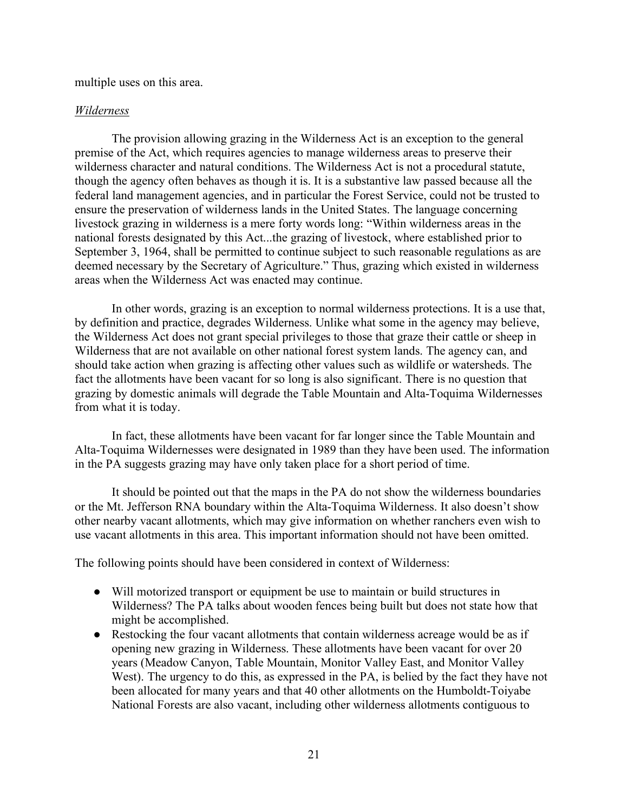multiple uses on this area.

### *Wilderness*

The provision allowing grazing in the Wilderness Act is an exception to the general premise of the Act, which requires agencies to manage wilderness areas to preserve their wilderness character and natural conditions. The Wilderness Act is not a procedural statute, though the agency often behaves as though it is. It is a substantive law passed because all the federal land management agencies, and in particular the Forest Service, could not be trusted to ensure the preservation of wilderness lands in the United States. The language concerning livestock grazing in wilderness is a mere forty words long: "Within wilderness areas in the national forests designated by this Act...the grazing of livestock, where established prior to September 3, 1964, shall be permitted to continue subject to such reasonable regulations as are deemed necessary by the Secretary of Agriculture." Thus, grazing which existed in wilderness areas when the Wilderness Act was enacted may continue.

In other words, grazing is an exception to normal wilderness protections. It is a use that, by definition and practice, degrades Wilderness. Unlike what some in the agency may believe, the Wilderness Act does not grant special privileges to those that graze their cattle or sheep in Wilderness that are not available on other national forest system lands. The agency can, and should take action when grazing is affecting other values such as wildlife or watersheds. The fact the allotments have been vacant for so long is also significant. There is no question that grazing by domestic animals will degrade the Table Mountain and Alta-Toquima Wildernesses from what it is today.

In fact, these allotments have been vacant for far longer since the Table Mountain and Alta-Toquima Wildernesses were designated in 1989 than they have been used. The information in the PA suggests grazing may have only taken place for a short period of time.

It should be pointed out that the maps in the PA do not show the wilderness boundaries or the Mt. Jefferson RNA boundary within the Alta-Toquima Wilderness. It also doesn't show other nearby vacant allotments, which may give information on whether ranchers even wish to use vacant allotments in this area. This important information should not have been omitted.

The following points should have been considered in context of Wilderness:

- Will motorized transport or equipment be use to maintain or build structures in Wilderness? The PA talks about wooden fences being built but does not state how that might be accomplished.
- Restocking the four vacant allotments that contain wilderness acreage would be as if opening new grazing in Wilderness. These allotments have been vacant for over 20 years (Meadow Canyon, Table Mountain, Monitor Valley East, and Monitor Valley West). The urgency to do this, as expressed in the PA, is belied by the fact they have not been allocated for many years and that 40 other allotments on the Humboldt-Toiyabe National Forests are also vacant, including other wilderness allotments contiguous to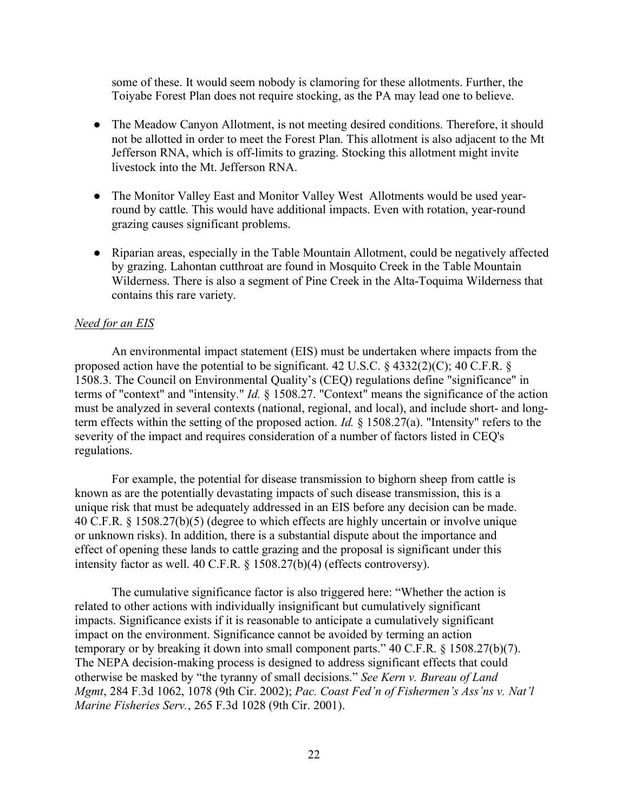some of these. It would seem nobody is clamoring for these allotments. Further, the Toiyabe Forest Plan does not require stocking, as the PA may lead one to believe.

- The Meadow Canyon Allotment, is not meeting desired conditions. Therefore, it should not be allotted in order to meet the Forest Plan. This allotment is also adjacent to the Mt Jefferson RNA, which is off-limits to grazing. Stocking this allotment might invite livestock into the Mt. Jefferson RNA.
- The Monitor Valley East and Monitor Valley West Allotments would be used yearround by cattle. This would have additional impacts. Even with rotation, year-round grazing causes significant problems.
- Riparian areas, especially in the Table Mountain Allotment, could be negatively affected by grazing. Lahontan cutthroat are found in Mosquito Creek in the Table Mountain Wilderness. There is also a segment of Pine Creek in the Alta-Toquima Wilderness that contains this rare variety.

## *Need for an EIS*

An environmental impact statement (EIS) must be undertaken where impacts from the proposed action have the potential to be significant. 42 U.S.C. § 4332(2)(C); 40 C.F.R. § 1508.3. The Council on Environmental Quality's (CEQ) regulations define "significance" in terms of "context" and "intensity." *Id.* § 1508.27. "Context" means the significance of the action must be analyzed in several contexts (national, regional, and local), and include short- and longterm effects within the setting of the proposed action. *Id.* § 1508.27(a). "Intensity" refers to the severity of the impact and requires consideration of a number of factors listed in CEQ's regulations.

For example, the potential for disease transmission to bighorn sheep from cattle is known as are the potentially devastating impacts of such disease transmission, this is a unique risk that must be adequately addressed in an EIS before any decision can be made. 40 C.F.R. § 1508.27(b)(5) (degree to which effects are highly uncertain or involve unique or unknown risks). In addition, there is a substantial dispute about the importance and effect of opening these lands to cattle grazing and the proposal is significant under this intensity factor as well. 40 C.F.R. § 1508.27(b)(4) (effects controversy).

The cumulative significance factor is also triggered here: "Whether the action is related to other actions with individually insignificant but cumulatively significant impacts. Significance exists if it is reasonable to anticipate a cumulatively significant impact on the environment. Significance cannot be avoided by terming an action temporary or by breaking it down into small component parts." 40 C.F.R. § 1508.27(b)(7). The NEPA decision-making process is designed to address significant effects that could otherwise be masked by "the tyranny of small decisions." *See Kern v. Bureau of Land Mgmt*, 284 F.3d 1062, 1078 (9th Cir. 2002); *Pac. Coast Fed'n of Fishermen's Ass'ns v. Nat'l Marine Fisheries Serv.*, 265 F.3d 1028 (9th Cir. 2001).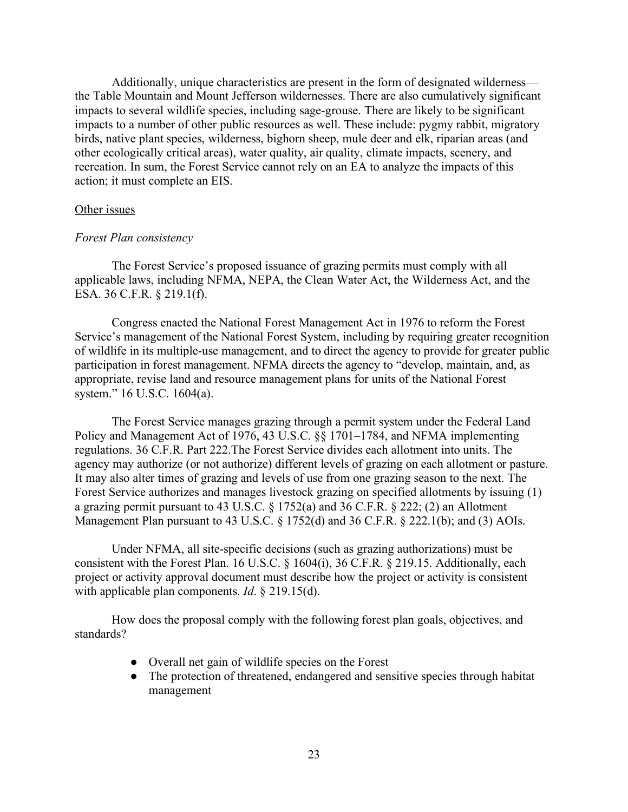Additionally, unique characteristics are present in the form of designated wilderness the Table Mountain and Mount Jefferson wildernesses. There are also cumulatively significant impacts to several wildlife species, including sage-grouse. There are likely to be significant impacts to a number of other public resources as well. These include: pygmy rabbit, migratory birds, native plant species, wilderness, bighorn sheep, mule deer and elk, riparian areas (and other ecologically critical areas), water quality, air quality, climate impacts, scenery, and recreation. In sum, the Forest Service cannot rely on an EA to analyze the impacts of this action; it must complete an EIS.

## Other issues

### *Forest Plan consistency*

The Forest Service's proposed issuance of grazing permits must comply with all applicable laws, including NFMA, NEPA, the Clean Water Act, the Wilderness Act, and the ESA. 36 C.F.R. § 219.1(f).

Congress enacted the National Forest Management Act in 1976 to reform the Forest Service's management of the National Forest System, including by requiring greater recognition of wildlife in its multiple-use management, and to direct the agency to provide for greater public participation in forest management. NFMA directs the agency to "develop, maintain, and, as appropriate, revise land and resource management plans for units of the National Forest system." 16 U.S.C. 1604(a).

The Forest Service manages grazing through a permit system under the Federal Land Policy and Management Act of 1976, 43 U.S.C. §§ 1701–1784, and NFMA implementing regulations. 36 C.F.R. Part 222.The Forest Service divides each allotment into units. The agency may authorize (or not authorize) different levels of grazing on each allotment or pasture. It may also alter times of grazing and levels of use from one grazing season to the next. The Forest Service authorizes and manages livestock grazing on specified allotments by issuing (1) a grazing permit pursuant to 43 U.S.C. § 1752(a) and 36 C.F.R. § 222; (2) an Allotment Management Plan pursuant to 43 U.S.C. § 1752(d) and 36 C.F.R. § 222.1(b); and (3) AOIs.

Under NFMA, all site-specific decisions (such as grazing authorizations) must be consistent with the Forest Plan. 16 U.S.C. § 1604(i), 36 C.F.R. § 219.15. Additionally, each project or activity approval document must describe how the project or activity is consistent with applicable plan components. *Id*. § 219.15(d).

How does the proposal comply with the following forest plan goals, objectives, and standards?

- Overall net gain of wildlife species on the Forest
- The protection of threatened, endangered and sensitive species through habitat management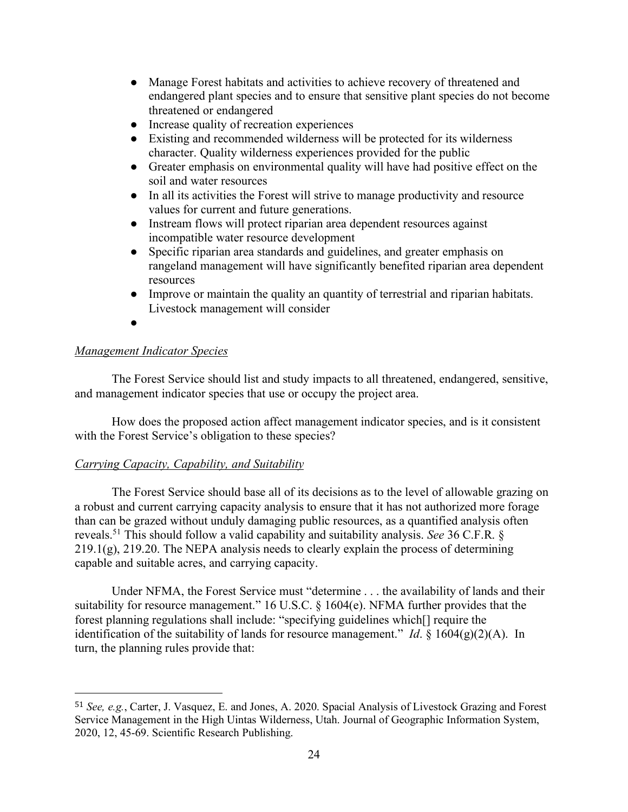- Manage Forest habitats and activities to achieve recovery of threatened and endangered plant species and to ensure that sensitive plant species do not become threatened or endangered
- Increase quality of recreation experiences
- Existing and recommended wilderness will be protected for its wilderness character. Quality wilderness experiences provided for the public
- Greater emphasis on environmental quality will have had positive effect on the soil and water resources
- In all its activities the Forest will strive to manage productivity and resource values for current and future generations.
- Instream flows will protect riparian area dependent resources against incompatible water resource development
- Specific riparian area standards and guidelines, and greater emphasis on rangeland management will have significantly benefited riparian area dependent resources
- Improve or maintain the quality an quantity of terrestrial and riparian habitats. Livestock management will consider
- ●

# *Management Indicator Species*

 

The Forest Service should list and study impacts to all threatened, endangered, sensitive, and management indicator species that use or occupy the project area.

How does the proposed action affect management indicator species, and is it consistent with the Forest Service's obligation to these species?

## *Carrying Capacity, Capability, and Suitability*

The Forest Service should base all of its decisions as to the level of allowable grazing on a robust and current carrying capacity analysis to ensure that it has not authorized more forage than can be grazed without unduly damaging public resources, as a quantified analysis often reveals.51 This should follow a valid capability and suitability analysis. *See* 36 C.F.R. §  $219.1(g)$ ,  $219.20$ . The NEPA analysis needs to clearly explain the process of determining capable and suitable acres, and carrying capacity.

Under NFMA, the Forest Service must "determine . . . the availability of lands and their suitability for resource management." 16 U.S.C. § 1604(e). NFMA further provides that the forest planning regulations shall include: "specifying guidelines which[] require the identification of the suitability of lands for resource management." *Id*. § 1604(g)(2)(A). In turn, the planning rules provide that:

<sup>51</sup> *See, e.g.*, Carter, J. Vasquez, E. and Jones, A. 2020. Spacial Analysis of Livestock Grazing and Forest Service Management in the High Uintas Wilderness, Utah. Journal of Geographic Information System, 2020, 12, 45-69. Scientific Research Publishing.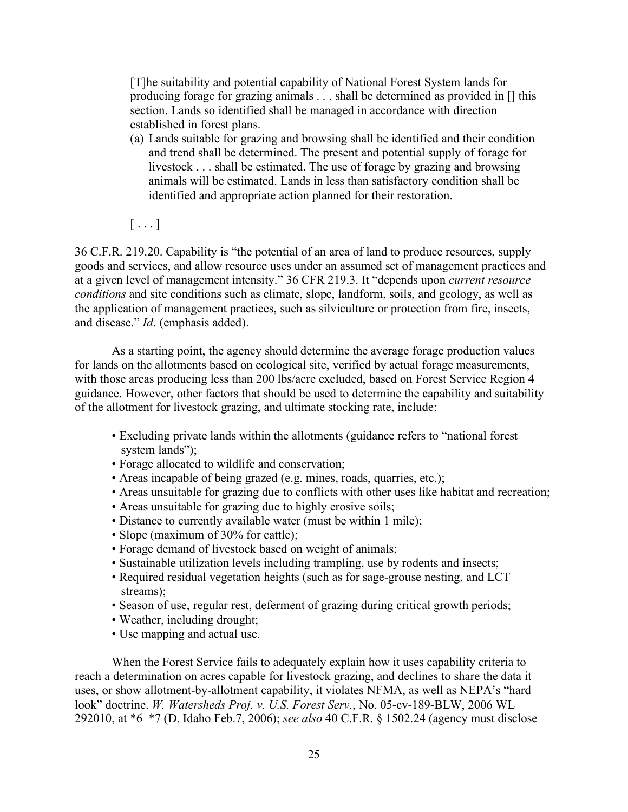[T]he suitability and potential capability of National Forest System lands for producing forage for grazing animals . . . shall be determined as provided in [] this section. Lands so identified shall be managed in accordance with direction established in forest plans.

(a) Lands suitable for grazing and browsing shall be identified and their condition and trend shall be determined. The present and potential supply of forage for livestock . . . shall be estimated. The use of forage by grazing and browsing animals will be estimated. Lands in less than satisfactory condition shall be identified and appropriate action planned for their restoration.

 $[\ldots]$ 

36 C.F.R. 219.20. Capability is "the potential of an area of land to produce resources, supply goods and services, and allow resource uses under an assumed set of management practices and at a given level of management intensity." 36 CFR 219.3. It "depends upon *current resource conditions* and site conditions such as climate, slope, landform, soils, and geology, as well as the application of management practices, such as silviculture or protection from fire, insects, and disease." *Id*. (emphasis added).

As a starting point, the agency should determine the average forage production values for lands on the allotments based on ecological site, verified by actual forage measurements, with those areas producing less than 200 lbs/acre excluded, based on Forest Service Region 4 guidance. However, other factors that should be used to determine the capability and suitability of the allotment for livestock grazing, and ultimate stocking rate, include:

- Excluding private lands within the allotments (guidance refers to "national forest system lands");
- Forage allocated to wildlife and conservation;
- Areas incapable of being grazed (e.g. mines, roads, quarries, etc.);
- Areas unsuitable for grazing due to conflicts with other uses like habitat and recreation;
- Areas unsuitable for grazing due to highly erosive soils;
- Distance to currently available water (must be within 1 mile);
- Slope (maximum of 30% for cattle);
- Forage demand of livestock based on weight of animals;
- Sustainable utilization levels including trampling, use by rodents and insects;
- Required residual vegetation heights (such as for sage-grouse nesting, and LCT streams);
- Season of use, regular rest, deferment of grazing during critical growth periods;
- Weather, including drought;
- Use mapping and actual use.

When the Forest Service fails to adequately explain how it uses capability criteria to reach a determination on acres capable for livestock grazing, and declines to share the data it uses, or show allotment-by-allotment capability, it violates NFMA, as well as NEPA's "hard look" doctrine. *W. Watersheds Proj. v. U.S. Forest Serv.*, No. 05-cv-189-BLW, 2006 WL 292010, at \*6–\*7 (D. Idaho Feb.7, 2006); *see also* 40 C.F.R. § 1502.24 (agency must disclose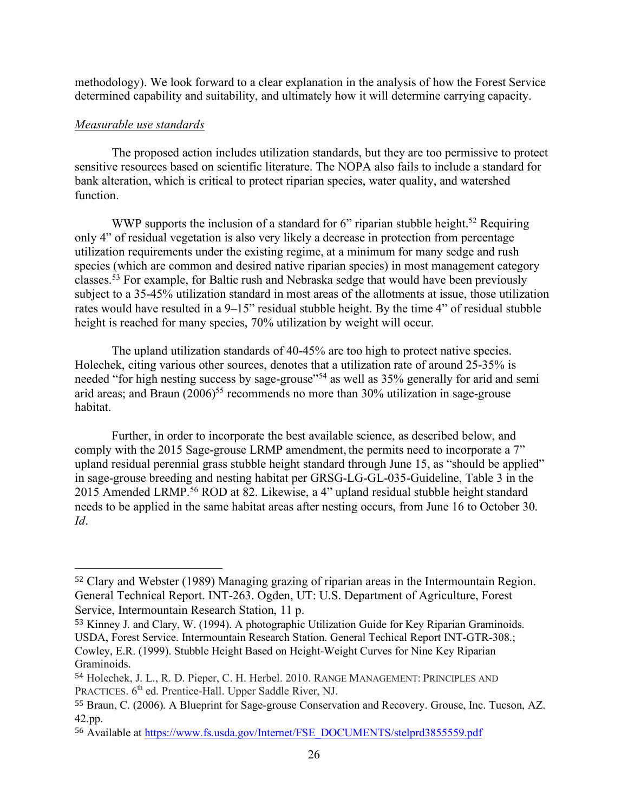methodology). We look forward to a clear explanation in the analysis of how the Forest Service determined capability and suitability, and ultimately how it will determine carrying capacity.

## *Measurable use standards*

 

The proposed action includes utilization standards, but they are too permissive to protect sensitive resources based on scientific literature. The NOPA also fails to include a standard for bank alteration, which is critical to protect riparian species, water quality, and watershed function.

WWP supports the inclusion of a standard for 6" riparian stubble height.<sup>52</sup> Requiring only 4" of residual vegetation is also very likely a decrease in protection from percentage utilization requirements under the existing regime, at a minimum for many sedge and rush species (which are common and desired native riparian species) in most management category classes.53 For example, for Baltic rush and Nebraska sedge that would have been previously subject to a 35-45% utilization standard in most areas of the allotments at issue, those utilization rates would have resulted in a 9–15" residual stubble height. By the time 4" of residual stubble height is reached for many species, 70% utilization by weight will occur.

The upland utilization standards of 40-45% are too high to protect native species. Holechek, citing various other sources, denotes that a utilization rate of around 25-35% is needed "for high nesting success by sage-grouse"54 as well as 35% generally for arid and semi arid areas; and Braun  $(2006)^{55}$  recommends no more than 30% utilization in sage-grouse habitat.

Further, in order to incorporate the best available science, as described below, and comply with the 2015 Sage-grouse LRMP amendment, the permits need to incorporate a 7" upland residual perennial grass stubble height standard through June 15, as "should be applied" in sage-grouse breeding and nesting habitat per GRSG-LG-GL-035-Guideline, Table 3 in the 2015 Amended LRMP.56 ROD at 82. Likewise, a 4" upland residual stubble height standard needs to be applied in the same habitat areas after nesting occurs, from June 16 to October 30. *Id*.

<sup>52</sup> Clary and Webster (1989) Managing grazing of riparian areas in the Intermountain Region. General Technical Report. INT-263. Ogden, UT: U.S. Department of Agriculture, Forest Service, Intermountain Research Station, 11 p.

<sup>53</sup> Kinney J. and Clary, W. (1994). A photographic Utilization Guide for Key Riparian Graminoids. USDA, Forest Service. Intermountain Research Station. General Techical Report INT-GTR-308.; Cowley, E.R. (1999). Stubble Height Based on Height-Weight Curves for Nine Key Riparian Graminoids.

<sup>54</sup> Holechek, J. L., R. D. Pieper, C. H. Herbel. 2010. RANGE MANAGEMENT: PRINCIPLES AND PRACTICES.  $6<sup>th</sup>$  ed. Prentice-Hall. Upper Saddle River, NJ.

<sup>55</sup> Braun, C. (2006). A Blueprint for Sage-grouse Conservation and Recovery. Grouse, Inc. Tucson, AZ. 42.pp.

<sup>56</sup> Available at https://www.fs.usda.gov/Internet/FSE\_DOCUMENTS/stelprd3855559.pdf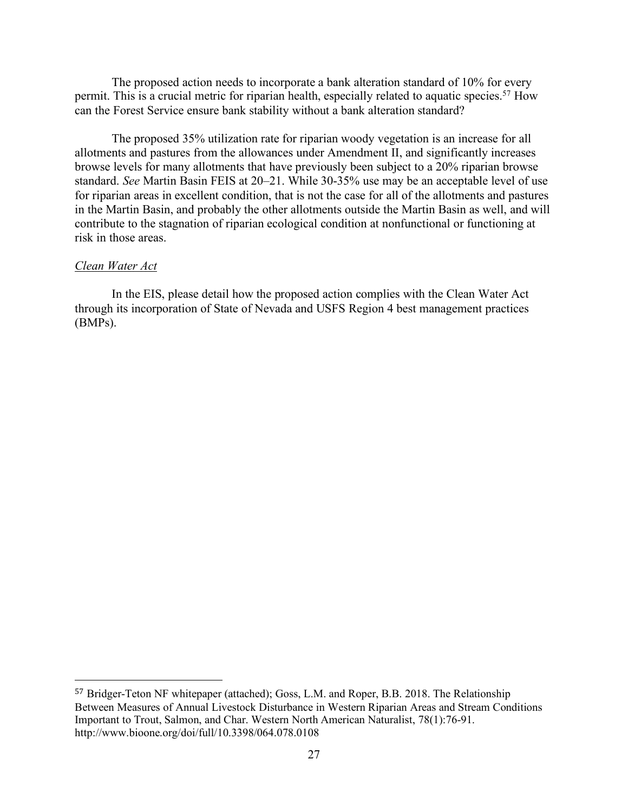The proposed action needs to incorporate a bank alteration standard of 10% for every permit. This is a crucial metric for riparian health, especially related to aquatic species.<sup>57</sup> How can the Forest Service ensure bank stability without a bank alteration standard?

The proposed 35% utilization rate for riparian woody vegetation is an increase for all allotments and pastures from the allowances under Amendment II, and significantly increases browse levels for many allotments that have previously been subject to a 20% riparian browse standard. *See* Martin Basin FEIS at 20–21. While 30-35% use may be an acceptable level of use for riparian areas in excellent condition, that is not the case for all of the allotments and pastures in the Martin Basin, and probably the other allotments outside the Martin Basin as well, and will contribute to the stagnation of riparian ecological condition at nonfunctional or functioning at risk in those areas.

### *Clean Water Act*

 

In the EIS, please detail how the proposed action complies with the Clean Water Act through its incorporation of State of Nevada and USFS Region 4 best management practices (BMPs).

<sup>57</sup> Bridger-Teton NF whitepaper (attached); Goss, L.M. and Roper, B.B. 2018. The Relationship Between Measures of Annual Livestock Disturbance in Western Riparian Areas and Stream Conditions Important to Trout, Salmon, and Char. Western North American Naturalist, 78(1):76-91. http://www.bioone.org/doi/full/10.3398/064.078.0108